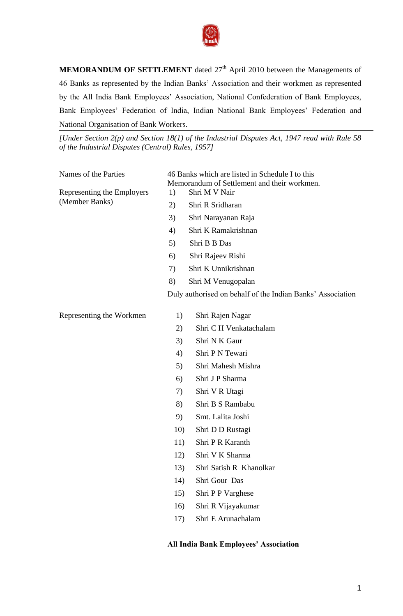

**MEMORANDUM OF SETTLEMENT** dated 27<sup>th</sup> April 2010 between the Managements of 46 Banks as represented by the Indian Banks" Association and their workmen as represented by the All India Bank Employees" Association, National Confederation of Bank Employees, Bank Employees' Federation of India, Indian National Bank Employees' Federation and National Organisation of Bank Workers.

*[Under Section 2(p) and Section 18(1) of the Industrial Disputes Act, 1947 read with Rule 58 of the Industrial Disputes (Central) Rules, 1957]*

| Names of the Parties       |    | 46 Banks which are listed in Schedule I to this<br>Memorandum of Settlement and their workmen. |
|----------------------------|----|------------------------------------------------------------------------------------------------|
| Representing the Employers | 1) | Shri M V Nair                                                                                  |
| (Member Banks)             | 2) | Shri R Sridharan                                                                               |
|                            | 3) | Shri Narayanan Raja                                                                            |
|                            | 4) | Shri K Ramakrishnan                                                                            |
|                            | 5) | Shri B B Das                                                                                   |
|                            | 6) | Shri Rajeev Rishi                                                                              |
|                            | 7) | Shri K Unnikrishnan                                                                            |
|                            | 8) | Shri M Venugopalan                                                                             |
|                            |    | Duly authorised on behalf of the Indian Banks' Association                                     |
| Representing the Workmen   | 1) | Shri Rajen Nagar                                                                               |
|                            | 2) | Shri C H Venkatachalam                                                                         |
|                            | 3) | Shri N K Gaur                                                                                  |
|                            | 4) | Shri P N Tewari                                                                                |
|                            |    |                                                                                                |

- 5) Shri Mahesh Mishra
- 6) Shri J P Sharma
- 7) Shri V R Utagi
- 8) Shri B S Rambabu
- 9) Smt. Lalita Joshi
- 10) Shri D D Rustagi
- 11) Shri P R Karanth
- 12) Shri V K Sharma
- 13) Shri Satish R Khanolkar
- 14) Shri Gour Das
- 15) Shri P P Varghese
- 16) Shri R Vijayakumar
- 17) Shri E Arunachalam

#### **All India Bank Employees' Association**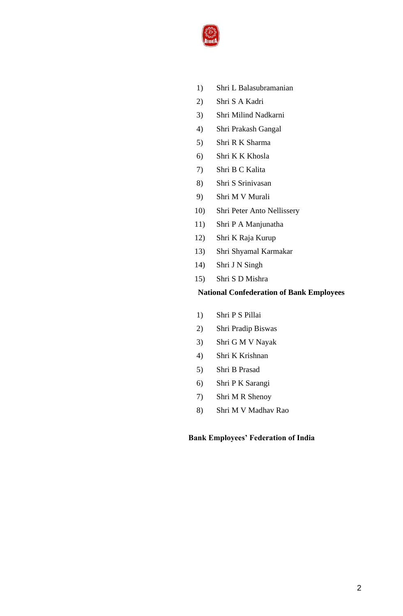

- 1) Shri L Balasubramanian
- 2) Shri S A Kadri
- 3) Shri Milind Nadkarni
- 4) Shri Prakash Gangal
- 5) Shri R K Sharma
- 6) Shri K K Khosla
- 7) Shri B C Kalita
- 8) Shri S Srinivasan
- 9) Shri M V Murali
- 10) Shri Peter Anto Nellissery
- 11) Shri P A Manjunatha
- 12) Shri K Raja Kurup
- 13) Shri Shyamal Karmakar
- 14) Shri J N Singh
- 15) Shri S D Mishra

## **National Confederation of Bank Employees**

- 1) Shri P S Pillai
- 2) Shri Pradip Biswas
- 3) Shri G M V Nayak
- 4) Shri K Krishnan
- 5) Shri B Prasad
- 6) Shri P K Sarangi
- 7) Shri M R Shenoy
- 8) Shri M V Madhav Rao

## **Bank Employees' Federation of India**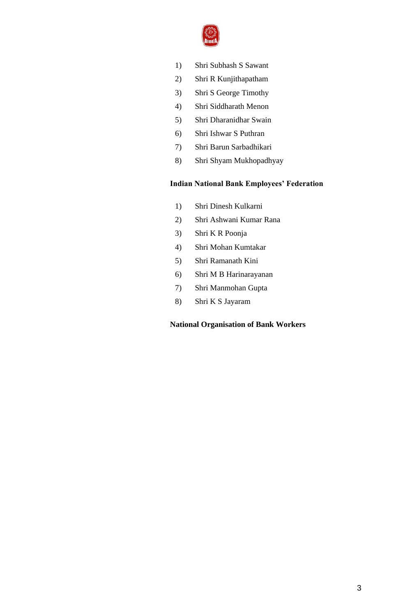

- 1) Shri Subhash S Sawant
- 2) Shri R Kunjithapatham
- 3) Shri S George Timothy
- 4) Shri Siddharath Menon
- 5) Shri Dharanidhar Swain
- 6) Shri Ishwar S Puthran
- 7) Shri Barun Sarbadhikari
- 8) Shri Shyam Mukhopadhyay

#### **Indian National Bank Employees' Federation**

- 1) Shri Dinesh Kulkarni
- 2) Shri Ashwani Kumar Rana
- 3) Shri K R Poonja
- 4) Shri Mohan Kumtakar
- 5) Shri Ramanath Kini
- 6) Shri M B Harinarayanan
- 7) Shri Manmohan Gupta
- 8) Shri K S Jayaram

## **National Organisation of Bank Workers**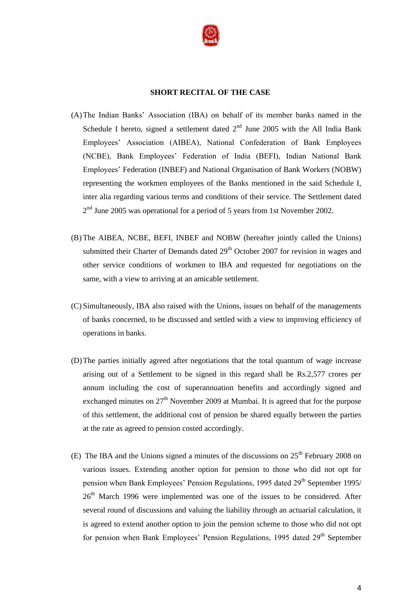

#### **SHORT RECITAL OF THE CASE**

- (A)The Indian Banks" Association (IBA) on behalf of its member banks named in the Schedule I hereto, signed a settlement dated  $2<sup>nd</sup>$  June 2005 with the All India Bank Employees" Association (AIBEA), National Confederation of Bank Employees (NCBE), Bank Employees" Federation of India (BEFI), Indian National Bank Employees" Federation (INBEF) and National Organisation of Bank Workers (NOBW) representing the workmen employees of the Banks mentioned in the said Schedule I, inter alia regarding various terms and conditions of their service. The Settlement dated  $2<sup>nd</sup>$  June 2005 was operational for a period of 5 years from 1st November 2002.
- (B) The AIBEA, NCBE, BEFI, INBEF and NOBW (hereafter jointly called the Unions) submitted their Charter of Demands dated  $29<sup>th</sup>$  October 2007 for revision in wages and other service conditions of workmen to IBA and requested for negotiations on the same, with a view to arriving at an amicable settlement.
- (C) Simultaneously, IBA also raised with the Unions, issues on behalf of the managements of banks concerned, to be discussed and settled with a view to improving efficiency of operations in banks.
- (D)The parties initially agreed after negotiations that the total quantum of wage increase arising out of a Settlement to be signed in this regard shall be Rs.2,577 crores per annum including the cost of superannuation benefits and accordingly signed and exchanged minutes on  $27<sup>th</sup>$  November 2009 at Mumbai. It is agreed that for the purpose of this settlement, the additional cost of pension be shared equally between the parties at the rate as agreed to pension costed accordingly.
- (E) The IBA and the Unions signed a minutes of the discussions on  $25<sup>th</sup>$  February 2008 on various issues. Extending another option for pension to those who did not opt for pension when Bank Employees' Pension Regulations, 1995 dated 29<sup>th</sup> September 1995/ 26<sup>th</sup> March 1996 were implemented was one of the issues to be considered. After several round of discussions and valuing the liability through an actuarial calculation, it is agreed to extend another option to join the pension scheme to those who did not opt for pension when Bank Employees' Pension Regulations, 1995 dated  $29<sup>th</sup>$  September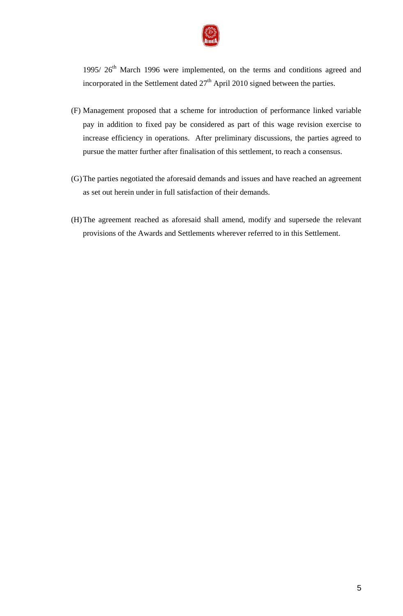

1995/  $26<sup>th</sup>$  March 1996 were implemented, on the terms and conditions agreed and incorporated in the Settlement dated  $27<sup>th</sup>$  April 2010 signed between the parties.

- (F) Management proposed that a scheme for introduction of performance linked variable pay in addition to fixed pay be considered as part of this wage revision exercise to increase efficiency in operations. After preliminary discussions, the parties agreed to pursue the matter further after finalisation of this settlement, to reach a consensus.
- (G)The parties negotiated the aforesaid demands and issues and have reached an agreement as set out herein under in full satisfaction of their demands.
- (H)The agreement reached as aforesaid shall amend, modify and supersede the relevant provisions of the Awards and Settlements wherever referred to in this Settlement.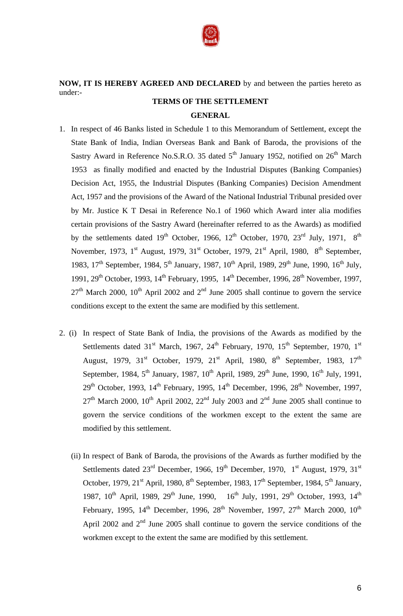

# **NOW, IT IS HEREBY AGREED AND DECLARED** by and between the parties hereto as under:-

# **TERMS OF THE SETTLEMENT GENERAL**

- 1. In respect of 46 Banks listed in Schedule 1 to this Memorandum of Settlement, except the State Bank of India, Indian Overseas Bank and Bank of Baroda, the provisions of the Sastry Award in Reference No.S.R.O. 35 dated 5<sup>th</sup> January 1952, notified on 26<sup>th</sup> March 1953 as finally modified and enacted by the Industrial Disputes (Banking Companies) Decision Act, 1955, the Industrial Disputes (Banking Companies) Decision Amendment Act, 1957 and the provisions of the Award of the National Industrial Tribunal presided over by Mr. Justice K T Desai in Reference No.1 of 1960 which Award inter alia modifies certain provisions of the Sastry Award (hereinafter referred to as the Awards) as modified by the settlements dated  $19<sup>th</sup>$  October,  $1966$ ,  $12<sup>th</sup>$  October, 1970,  $23<sup>rd</sup>$  July, 1971,  $8<sup>th</sup>$ November, 1973, 1<sup>st</sup> August, 1979, 31<sup>st</sup> October, 1979, 21<sup>st</sup> April, 1980, 8<sup>th</sup> September, 1983, 17<sup>th</sup> September, 1984, 5<sup>th</sup> January, 1987, 10<sup>th</sup> April, 1989, 29<sup>th</sup> June, 1990, 16<sup>th</sup> July, 1991, 29<sup>th</sup> October, 1993, 14<sup>th</sup> February, 1995, 14<sup>th</sup> December, 1996, 28<sup>th</sup> November, 1997,  $27<sup>th</sup>$  March 2000, 10<sup>th</sup> April 2002 and  $2<sup>nd</sup>$  June 2005 shall continue to govern the service conditions except to the extent the same are modified by this settlement.
- 2. (i) In respect of State Bank of India, the provisions of the Awards as modified by the Settlements dated  $31<sup>st</sup>$  March, 1967,  $24<sup>th</sup>$  February, 1970,  $15<sup>th</sup>$  September, 1970,  $1<sup>st</sup>$ August, 1979,  $31<sup>st</sup>$  October, 1979,  $21<sup>st</sup>$  April, 1980,  $8<sup>th</sup>$  September, 1983,  $17<sup>th</sup>$ September, 1984, 5<sup>th</sup> January, 1987, 10<sup>th</sup> April, 1989, 29<sup>th</sup> June, 1990, 16<sup>th</sup> July, 1991,  $29<sup>th</sup>$  October, 1993, 14<sup>th</sup> February, 1995, 14<sup>th</sup> December, 1996, 28<sup>th</sup> November, 1997,  $27<sup>th</sup>$  March 2000, 10<sup>th</sup> April 2002, 22<sup>nd</sup> July 2003 and 2<sup>nd</sup> June 2005 shall continue to govern the service conditions of the workmen except to the extent the same are modified by this settlement.
	- (ii) In respect of Bank of Baroda, the provisions of the Awards as further modified by the Settlements dated  $23<sup>rd</sup>$  December, 1966, 19<sup>th</sup> December, 1970, 1<sup>st</sup> August, 1979, 31<sup>st</sup> October, 1979,  $21<sup>st</sup>$  April, 1980,  $8<sup>th</sup>$  September, 1983, 17<sup>th</sup> September, 1984,  $5<sup>th</sup>$  January, 1987, 10<sup>th</sup> April, 1989, 29<sup>th</sup> June, 1990, 16<sup>th</sup> July, 1991, 29<sup>th</sup> October, 1993, 14<sup>th</sup> February, 1995,  $14<sup>th</sup>$  December, 1996,  $28<sup>th</sup>$  November, 1997,  $27<sup>th</sup>$  March 2000,  $10<sup>th</sup>$ April 2002 and  $2<sup>nd</sup>$  June 2005 shall continue to govern the service conditions of the workmen except to the extent the same are modified by this settlement.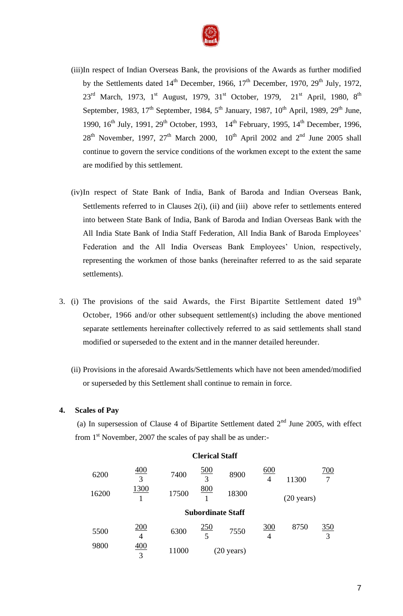

- (iii)In respect of Indian Overseas Bank, the provisions of the Awards as further modified by the Settlements dated  $14<sup>th</sup>$  December, 1966,  $17<sup>th</sup>$  December, 1970,  $29<sup>th</sup>$  July, 1972,  $23^{\text{rd}}$  March, 1973, 1st August, 1979, 31st October, 1979, 21st April, 1980, 8<sup>th</sup> September, 1983, 17<sup>th</sup> September, 1984, 5<sup>th</sup> January, 1987, 10<sup>th</sup> April, 1989, 29<sup>th</sup> June, 1990, 16<sup>th</sup> July, 1991, 29<sup>th</sup> October, 1993, 14<sup>th</sup> February, 1995, 14<sup>th</sup> December, 1996,  $28<sup>th</sup>$  November, 1997,  $27<sup>th</sup>$  March 2000,  $10<sup>th</sup>$  April 2002 and  $2<sup>nd</sup>$  June 2005 shall continue to govern the service conditions of the workmen except to the extent the same are modified by this settlement.
- (iv)In respect of State Bank of India, Bank of Baroda and Indian Overseas Bank, Settlements referred to in Clauses 2(i), (ii) and (iii) above refer to settlements entered into between State Bank of India, Bank of Baroda and Indian Overseas Bank with the All India State Bank of India Staff Federation, All India Bank of Baroda Employees" Federation and the All India Overseas Bank Employees' Union, respectively, representing the workmen of those banks (hereinafter referred to as the said separate settlements).
- 3. (i) The provisions of the said Awards, the First Bipartite Settlement dated  $19<sup>th</sup>$ October, 1966 and/or other subsequent settlement(s) including the above mentioned separate settlements hereinafter collectively referred to as said settlements shall stand modified or superseded to the extent and in the manner detailed hereunder.
	- (ii) Provisions in the aforesaid Awards/Settlements which have not been amended/modified or superseded by this Settlement shall continue to remain in force.

## **4. Scales of Pay**

(a) In supersession of Clause 4 of Bipartite Settlement dated  $2<sup>nd</sup>$  June 2005, with effect from  $1<sup>st</sup>$  November, 2007 the scales of pay shall be as under:-

| 6200  | 400<br>3 | 7400  | <u>500</u><br>3  | 8900                     | 600<br>$\overline{4}$ | 11300                | <u>700</u> |
|-------|----------|-------|------------------|--------------------------|-----------------------|----------------------|------------|
| 16200 | 1300     | 17500 | <u>800</u>       | 18300                    |                       | $(20 \text{ years})$ |            |
|       |          |       |                  | <b>Subordinate Staff</b> |                       |                      |            |
| 5500  | 200<br>4 | 6300  | <u> 250</u><br>5 | 7550                     | 300<br>4              | 8750                 | 350<br>3   |
| 9800  | 400<br>3 | 11000 |                  | $(20 \text{ years})$     |                       |                      |            |

#### **Clerical Staff**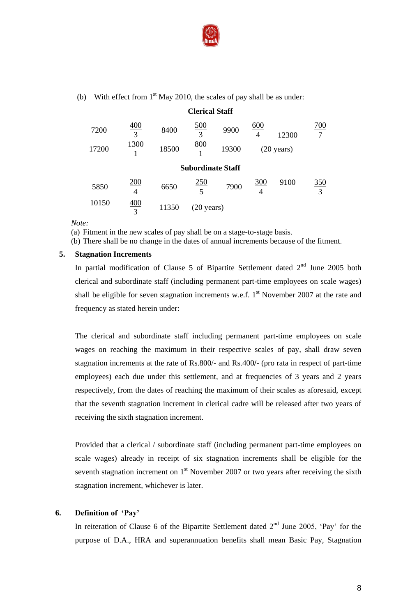

(b) With effect from  $1<sup>st</sup>$  May 2010, the scales of pay shall be as under:

|       |          |       | <b>Clerical Staff</b>    |       |                 |                      |                    |
|-------|----------|-------|--------------------------|-------|-----------------|----------------------|--------------------|
| 7200  | 400<br>3 | 8400  | 500<br>3                 | 9900  | 600<br>4        | 12300                | 700<br>7           |
| 17200 | 1300     | 18500 | <u>800</u>               | 19300 |                 | $(20 \text{ years})$ |                    |
|       |          |       | <b>Subordinate Staff</b> |       |                 |                      |                    |
| 5850  | 200<br>4 | 6650  | 250                      | 7900  | <u>300</u><br>4 | 9100                 | $rac{350}{1}$<br>3 |
| 10150 | 400<br>3 | 11350 | $(20 \text{ years})$     |       |                 |                      |                    |

 $\overline{a}$   $\overline{a}$   $\overline{a}$ 

*Note:*

(a) Fitment in the new scales of pay shall be on a stage-to-stage basis.

(b) There shall be no change in the dates of annual increments because of the fitment.

#### **5. Stagnation Increments**

In partial modification of Clause 5 of Bipartite Settlement dated  $2<sup>nd</sup>$  June 2005 both clerical and subordinate staff (including permanent part-time employees on scale wages) shall be eligible for seven stagnation increments w.e.f.  $1<sup>st</sup>$  November 2007 at the rate and frequency as stated herein under:

The clerical and subordinate staff including permanent part-time employees on scale wages on reaching the maximum in their respective scales of pay, shall draw seven stagnation increments at the rate of Rs.800/- and Rs.400**/-** (pro rata in respect of part-time employees) each due under this settlement, and at frequencies of 3 years and 2 years respectively, from the dates of reaching the maximum of their scales as aforesaid, except that the seventh stagnation increment in clerical cadre will be released after two years of receiving the sixth stagnation increment.

Provided that a clerical / subordinate staff (including permanent part-time employees on scale wages) already in receipt of six stagnation increments shall be eligible for the seventh stagnation increment on  $1<sup>st</sup>$  November 2007 or two years after receiving the sixth stagnation increment, whichever is later.

## **6. Definition of 'Pay'**

In reiteration of Clause 6 of the Bipartite Settlement dated  $2<sup>nd</sup>$  June 2005, 'Pay' for the purpose of D.A., HRA and superannuation benefits shall mean Basic Pay, Stagnation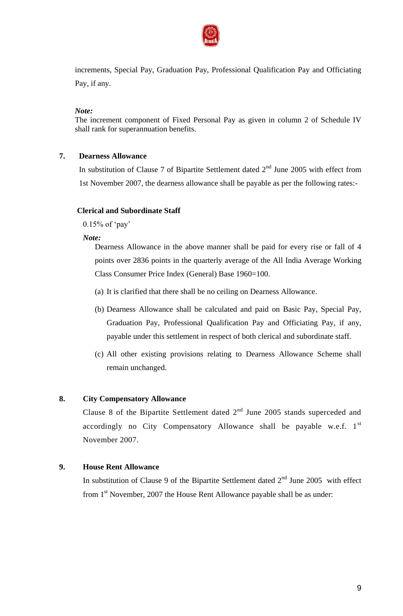

increments, Special Pay, Graduation Pay, Professional Qualification Pay and Officiating Pay, if any.

*Note:*

The increment component of Fixed Personal Pay as given in column 2 of Schedule IV shall rank for superannuation benefits.

# **7. Dearness Allowance**

In substitution of Clause 7 of Bipartite Settlement dated  $2<sup>nd</sup>$  June 2005 with effect from 1st November 2007, the dearness allowance shall be payable as per the following rates:-

## **Clerical and Subordinate Staff**

 $0.15\%$  of 'pay'

## *Note:*

Dearness Allowance in the above manner shall be paid for every rise or fall of 4 points over 2836 points in the quarterly average of the All India Average Working Class Consumer Price Index (General) Base 1960=100.

- (a) It is clarified that there shall be no ceiling on Dearness Allowance.
- (b) Dearness Allowance shall be calculated and paid on Basic Pay, Special Pay, Graduation Pay, Professional Qualification Pay and Officiating Pay, if any, payable under this settlement in respect of both clerical and subordinate staff.
- (c) All other existing provisions relating to Dearness Allowance Scheme shall remain unchanged.

# **8. City Compensatory Allowance**

Clause 8 of the Bipartite Settlement dated  $2<sup>nd</sup>$  June 2005 stands superceded and accordingly no City Compensatory Allowance shall be payable w.e.f.  $1^{st}$ November 2007.

# **9. House Rent Allowance**

In substitution of Clause 9 of the Bipartite Settlement dated  $2<sup>nd</sup>$  June 2005 with effect from 1<sup>st</sup> November, 2007 the House Rent Allowance payable shall be as under: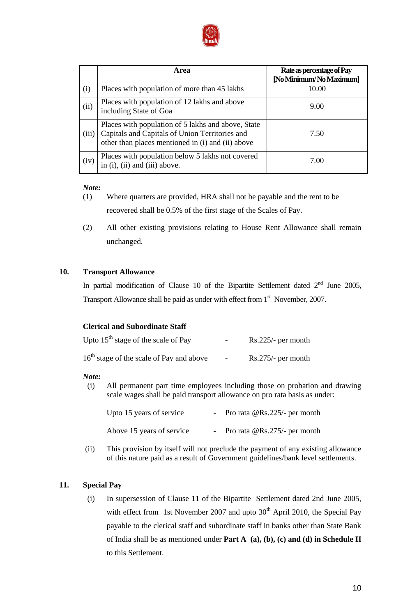

|       | Area                                                                                                                                                      | Rate as percentage of Pay<br>[No Minimum/No Maximum] |
|-------|-----------------------------------------------------------------------------------------------------------------------------------------------------------|------------------------------------------------------|
| (i)   | Places with population of more than 45 lakhs                                                                                                              | 10.00                                                |
| (ii)  | Places with population of 12 lakhs and above<br>including State of Goa                                                                                    | 9.00                                                 |
| (iii) | Places with population of 5 lakhs and above, State<br>Capitals and Capitals of Union Territories and<br>other than places mentioned in (i) and (ii) above | 7.50                                                 |
| (iv)  | Places with population below 5 lakhs not covered<br>in (i), (ii) and (iii) above.                                                                         | 7.00                                                 |

## *Note:*

- (1) Where quarters are provided, HRA shall not be payable and the rent to be recovered shall be 0.5% of the first stage of the Scales of Pay.
- (2) All other existing provisions relating to House Rent Allowance shall remain unchanged.

## **10. Transport Allowance**

In partial modification of Clause 10 of the Bipartite Settlement dated  $2<sup>nd</sup>$  June 2005, Transport Allowance shall be paid as under with effect from  $1<sup>st</sup>$  November, 2007.

# **Clerical and Subordinate Staff**

| Upto $15^{th}$ stage of the scale of Pay             | $\sim$ $\sim$ | $Rs.225/-$ per month |
|------------------------------------------------------|---------------|----------------------|
| 16 <sup>th</sup> stage of the scale of Pay and above | $\sim$        | $Rs.275/-$ per month |

## *Note:*

(i) All permanent part time employees including those on probation and drawing scale wages shall be paid transport allowance on pro rata basis as under:

| Upto 15 years of service  | - Pro rata $@$ Rs.225/- per month |
|---------------------------|-----------------------------------|
| Above 15 years of service | - Pro rata $@$ Rs.275/- per month |

(ii) This provision by itself will not preclude the payment of any existing allowance of this nature paid as a result of Government guidelines/bank level settlements.

# **11. Special Pay**

(i) In supersession of Clause 11 of the Bipartite Settlement dated 2nd June 2005, with effect from 1st November 2007 and upto  $30<sup>th</sup>$  April 2010, the Special Pay payable to the clerical staff and subordinate staff in banks other than State Bank of India shall be as mentioned under **Part A (a), (b), (c) and (d) in Schedule II** to this Settlement.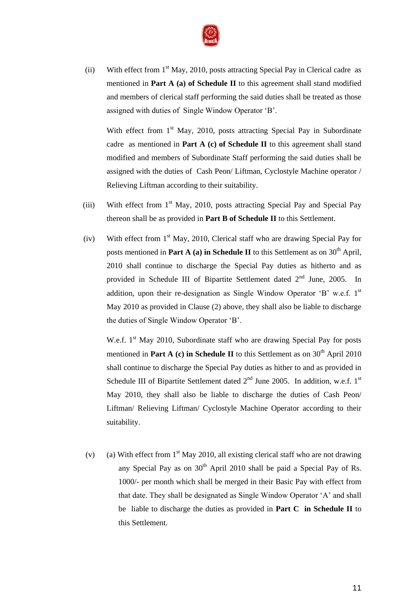

(ii) With effect from  $1<sup>st</sup>$  May, 2010, posts attracting Special Pay in Clerical cadre as mentioned in **Part A (a) of Schedule II** to this agreement shall stand modified and members of clerical staff performing the said duties shall be treated as those assigned with duties of Single Window Operator "B".

With effect from  $1<sup>st</sup>$  May, 2010, posts attracting Special Pay in Subordinate cadre as mentioned in **Part A (c) of Schedule II** to this agreement shall stand modified and members of Subordinate Staff performing the said duties shall be assigned with the duties of Cash Peon/ Liftman, Cyclostyle Machine operator / Relieving Liftman according to their suitability.

- (iii) With effect from  $1<sup>st</sup>$  May, 2010, posts attracting Special Pay and Special Pay thereon shall be as provided in **Part B of Schedule II** to this Settlement.
- (iv) With effect from  $1<sup>st</sup>$  May, 2010, Clerical staff who are drawing Special Pay for posts mentioned in **Part A** (a) in Schedule II to this Settlement as on  $30<sup>th</sup>$  April, 2010 shall continue to discharge the Special Pay duties as hitherto and as provided in Schedule III of Bipartite Settlement dated  $2<sup>nd</sup>$  June, 2005. In addition, upon their re-designation as Single Window Operator 'B' w.e.f. 1st May 2010 as provided in Clause (2) above, they shall also be liable to discharge the duties of Single Window Operator "B".

W.e.f.  $1<sup>st</sup>$  May 2010, Subordinate staff who are drawing Special Pay for posts mentioned in **Part A** (c) in Schedule II to this Settlement as on  $30<sup>th</sup>$  April 2010 shall continue to discharge the Special Pay duties as hither to and as provided in Schedule III of Bipartite Settlement dated  $2<sup>nd</sup>$  June 2005. In addition, w.e.f. 1<sup>st</sup> May 2010, they shall also be liable to discharge the duties of Cash Peon/ Liftman/ Relieving Liftman/ Cyclostyle Machine Operator according to their suitability.

(v) (a) With effect from  $1<sup>st</sup>$  May 2010, all existing clerical staff who are not drawing any Special Pay as on  $30<sup>th</sup>$  April 2010 shall be paid a Special Pay of Rs. 1000/- per month which shall be merged in their Basic Pay with effect from that date. They shall be designated as Single Window Operator "A" and shall be liable to discharge the duties as provided in **Part C in Schedule II** to this Settlement.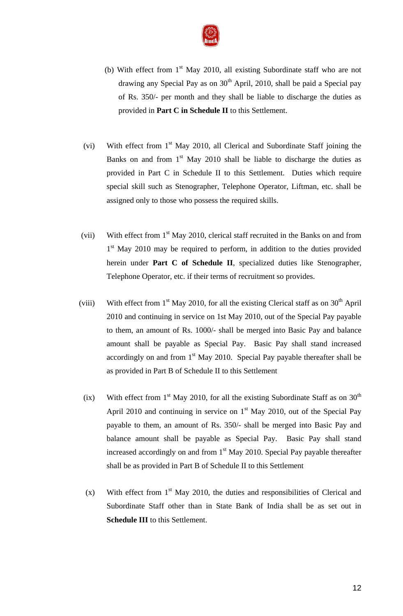

- (b) With effect from  $1<sup>st</sup>$  May 2010, all existing Subordinate staff who are not drawing any Special Pay as on  $30<sup>th</sup>$  April, 2010, shall be paid a Special pay of Rs. 350/- per month and they shall be liable to discharge the duties as provided in **Part C in Schedule II** to this Settlement.
- (vi) With effect from  $1<sup>st</sup>$  May 2010, all Clerical and Subordinate Staff joining the Banks on and from  $1<sup>st</sup>$  May 2010 shall be liable to discharge the duties as provided in Part C in Schedule II to this Settlement. Duties which require special skill such as Stenographer, Telephone Operator, Liftman, etc. shall be assigned only to those who possess the required skills.
- (vii) With effect from  $1<sup>st</sup>$  May 2010, clerical staff recruited in the Banks on and from 1<sup>st</sup> May 2010 may be required to perform, in addition to the duties provided herein under **Part C of Schedule II**, specialized duties like Stenographer, Telephone Operator, etc. if their terms of recruitment so provides.
- (viii) With effect from  $1<sup>st</sup>$  May 2010, for all the existing Clerical staff as on  $30<sup>th</sup>$  April 2010 and continuing in service on 1st May 2010, out of the Special Pay payable to them, an amount of Rs. 1000/- shall be merged into Basic Pay and balance amount shall be payable as Special Pay. Basic Pay shall stand increased accordingly on and from  $1<sup>st</sup>$  May 2010. Special Pay payable thereafter shall be as provided in Part B of Schedule II to this Settlement
- (ix) With effect from  $1<sup>st</sup>$  May 2010, for all the existing Subordinate Staff as on 30<sup>th</sup> April 2010 and continuing in service on  $1<sup>st</sup>$  May 2010, out of the Special Pay payable to them, an amount of Rs. 350/- shall be merged into Basic Pay and balance amount shall be payable as Special Pay. Basic Pay shall stand increased accordingly on and from  $1<sup>st</sup>$  May 2010. Special Pay payable thereafter shall be as provided in Part B of Schedule II to this Settlement
- (x) With effect from  $1<sup>st</sup>$  May 2010, the duties and responsibilities of Clerical and Subordinate Staff other than in State Bank of India shall be as set out in **Schedule III** to this Settlement.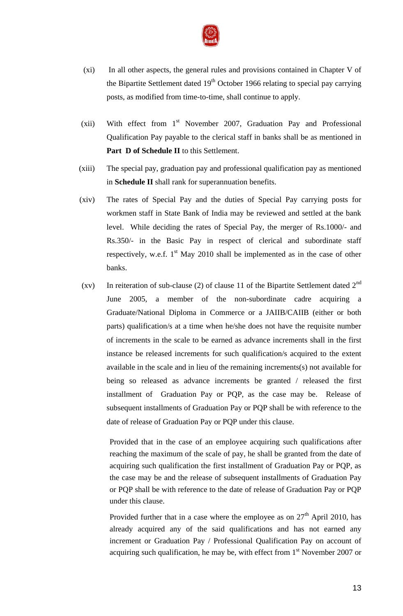

- (xi) In all other aspects, the general rules and provisions contained in Chapter V of the Bipartite Settlement dated  $19<sup>th</sup>$  October 1966 relating to special pay carrying posts, as modified from time-to-time, shall continue to apply.
- (xii) With effect from  $1<sup>st</sup>$  November 2007, Graduation Pay and Professional Qualification Pay payable to the clerical staff in banks shall be as mentioned in Part D of Schedule II to this Settlement.
- (xiii) The special pay, graduation pay and professional qualification pay as mentioned in **Schedule II** shall rank for superannuation benefits.
- (xiv) The rates of Special Pay and the duties of Special Pay carrying posts for workmen staff in State Bank of India may be reviewed and settled at the bank level. While deciding the rates of Special Pay, the merger of Rs.1000/- and Rs.350/- in the Basic Pay in respect of clerical and subordinate staff respectively, w.e.f.  $1<sup>st</sup>$  May 2010 shall be implemented as in the case of other banks.
- (xv) In reiteration of sub-clause (2) of clause 11 of the Bipartite Settlement dated  $2<sup>nd</sup>$ June 2005, a member of the non-subordinate cadre acquiring a Graduate/National Diploma in Commerce or a JAIIB/CAIIB (either or both parts) qualification/s at a time when he/she does not have the requisite number of increments in the scale to be earned as advance increments shall in the first instance be released increments for such qualification/s acquired to the extent available in the scale and in lieu of the remaining increments(s) not available for being so released as advance increments be granted / released the first installment of Graduation Pay or PQP, as the case may be. Release of subsequent installments of Graduation Pay or PQP shall be with reference to the date of release of Graduation Pay or PQP under this clause.

Provided that in the case of an employee acquiring such qualifications after reaching the maximum of the scale of pay, he shall be granted from the date of acquiring such qualification the first installment of Graduation Pay or PQP, as the case may be and the release of subsequent installments of Graduation Pay or PQP shall be with reference to the date of release of Graduation Pay or PQP under this clause.

Provided further that in a case where the employee as on  $27<sup>th</sup>$  April 2010, has already acquired any of the said qualifications and has not earned any increment or Graduation Pay / Professional Qualification Pay on account of acquiring such qualification, he may be, with effect from  $1<sup>st</sup>$  November 2007 or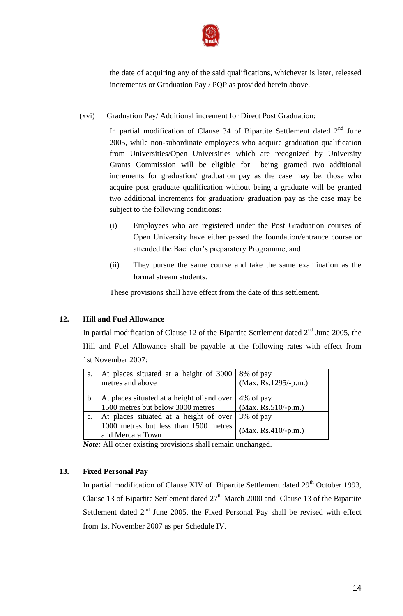

the date of acquiring any of the said qualifications, whichever is later, released increment/s or Graduation Pay / PQP as provided herein above.

(xvi) Graduation Pay/ Additional increment for Direct Post Graduation:

In partial modification of Clause 34 of Bipartite Settlement dated  $2<sup>nd</sup>$  June 2005, while non-subordinate employees who acquire graduation qualification from Universities/Open Universities which are recognized by University Grants Commission will be eligible for being granted two additional increments for graduation/ graduation pay as the case may be, those who acquire post graduate qualification without being a graduate will be granted two additional increments for graduation/ graduation pay as the case may be subject to the following conditions:

- (i) Employees who are registered under the Post Graduation courses of Open University have either passed the foundation/entrance course or attended the Bachelor"s preparatory Programme; and
- (ii) They pursue the same course and take the same examination as the formal stream students.

These provisions shall have effect from the date of this settlement.

# **12. Hill and Fuel Allowance**

In partial modification of Clause 12 of the Bipartite Settlement dated  $2<sup>nd</sup>$  June 2005, the Hill and Fuel Allowance shall be payable at the following rates with effect from 1st November 2007:

| a. | At places situated at a height of 3000   8% of pay<br>metres and above                              | $(Max. Rs. 1295/-p.m.)$              |
|----|-----------------------------------------------------------------------------------------------------|--------------------------------------|
| b. | At places situated at a height of and over<br>1500 metres but below 3000 metres                     | 4\% of pay<br>$(Max. Rs. 510/-p.m.)$ |
|    | At places situated at a height of over<br>1000 metres but less than 1500 metres<br>and Mercara Town | 3% of pay<br>$(Max. Rs.410/-p.m.)$   |

*Note:* All other existing provisions shall remain unchanged.

# **13. Fixed Personal Pay**

In partial modification of Clause XIV of Bipartite Settlement dated  $29<sup>th</sup>$  October 1993, Clause 13 of Bipartite Settlement dated  $27<sup>th</sup>$  March 2000 and Clause 13 of the Bipartite Settlement dated  $2<sup>nd</sup>$  June 2005, the Fixed Personal Pay shall be revised with effect from 1st November 2007 as per Schedule IV.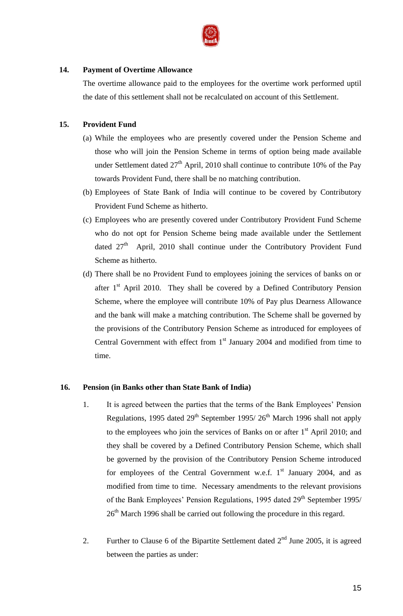

## **14. Payment of Overtime Allowance**

The overtime allowance paid to the employees for the overtime work performed uptil the date of this settlement shall not be recalculated on account of this Settlement.

# **15. Provident Fund**

- (a) While the employees who are presently covered under the Pension Scheme and those who will join the Pension Scheme in terms of option being made available under Settlement dated  $27<sup>th</sup>$  April, 2010 shall continue to contribute 10% of the Pay towards Provident Fund, there shall be no matching contribution.
- (b) Employees of State Bank of India will continue to be covered by Contributory Provident Fund Scheme as hitherto.
- (c) Employees who are presently covered under Contributory Provident Fund Scheme who do not opt for Pension Scheme being made available under the Settlement dated  $27<sup>th</sup>$  April, 2010 shall continue under the Contributory Provident Fund Scheme as hitherto.
- (d) There shall be no Provident Fund to employees joining the services of banks on or after  $1<sup>st</sup>$  April 2010. They shall be covered by a Defined Contributory Pension Scheme, where the employee will contribute 10% of Pay plus Dearness Allowance and the bank will make a matching contribution. The Scheme shall be governed by the provisions of the Contributory Pension Scheme as introduced for employees of Central Government with effect from  $1<sup>st</sup>$  January 2004 and modified from time to time.

# **16. Pension (in Banks other than State Bank of India)**

- 1. It is agreed between the parties that the terms of the Bank Employees" Pension Regulations, 1995 dated  $29<sup>th</sup>$  September 1995/  $26<sup>th</sup>$  March 1996 shall not apply to the employees who join the services of Banks on or after  $1<sup>st</sup>$  April 2010; and they shall be covered by a Defined Contributory Pension Scheme, which shall be governed by the provision of the Contributory Pension Scheme introduced for employees of the Central Government w.e.f.  $1<sup>st</sup>$  January 2004, and as modified from time to time. Necessary amendments to the relevant provisions of the Bank Employees' Pension Regulations, 1995 dated 29<sup>th</sup> September 1995/ 26<sup>th</sup> March 1996 shall be carried out following the procedure in this regard.
- 2. Further to Clause 6 of the Bipartite Settlement dated  $2<sup>nd</sup>$  June 2005, it is agreed between the parties as under: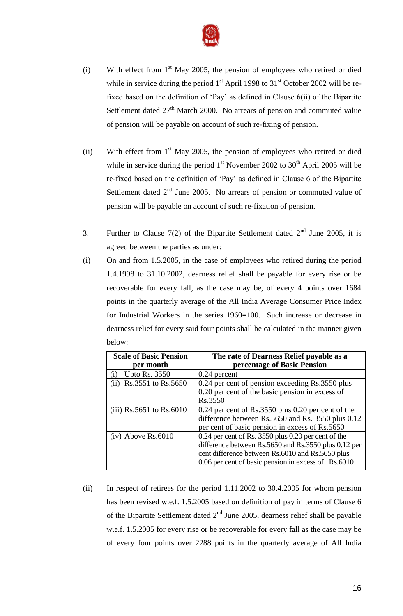

- (i) With effect from  $1<sup>st</sup>$  May 2005, the pension of employees who retired or died while in service during the period  $1<sup>st</sup>$  April 1998 to  $31<sup>st</sup>$  October 2002 will be refixed based on the definition of "Pay" as defined in Clause 6(ii) of the Bipartite Settlement dated  $27<sup>th</sup>$  March 2000. No arrears of pension and commuted value of pension will be payable on account of such re-fixing of pension.
- (ii) With effect from  $1<sup>st</sup>$  May 2005, the pension of employees who retired or died while in service during the period  $1<sup>st</sup>$  November 2002 to 30<sup>th</sup> April 2005 will be re-fixed based on the definition of "Pay" as defined in Clause 6 of the Bipartite Settlement dated  $2<sup>nd</sup>$  June 2005. No arrears of pension or commuted value of pension will be payable on account of such re-fixation of pension.
- 3. Further to Clause 7(2) of the Bipartite Settlement dated  $2<sup>nd</sup>$  June 2005, it is agreed between the parties as under:
- (i) On and from 1.5.2005, in the case of employees who retired during the period 1.4.1998 to 31.10.2002, dearness relief shall be payable for every rise or be recoverable for every fall, as the case may be, of every 4 points over 1684 points in the quarterly average of the All India Average Consumer Price Index for Industrial Workers in the series 1960=100. Such increase or decrease in dearness relief for every said four points shall be calculated in the manner given below:

| <b>Scale of Basic Pension</b><br>per month | The rate of Dearness Relief payable as a<br>percentage of Basic Pension                                                                                                                                                |
|--------------------------------------------|------------------------------------------------------------------------------------------------------------------------------------------------------------------------------------------------------------------------|
| <b>Upto Rs. 3550</b>                       | 0.24 percent                                                                                                                                                                                                           |
| (ii) $\text{Rs.3551}$ to $\text{Rs.5650}$  | 0.24 per cent of pension exceeding Rs.3550 plus<br>0.20 per cent of the basic pension in excess of<br>Rs.3550                                                                                                          |
| (iii) $Rs.5651$ to $Rs.6010$               | $0.24$ per cent of Rs.3550 plus 0.20 per cent of the<br>difference between Rs.5650 and Rs. 3550 plus 0.12<br>per cent of basic pension in excess of Rs.5650                                                            |
| $(iv)$ Above Rs.6010                       | 0.24 per cent of Rs. 3550 plus 0.20 per cent of the<br>difference between Rs.5650 and Rs.3550 plus 0.12 per<br>cent difference between Rs.6010 and Rs.5650 plus<br>0.06 per cent of basic pension in excess of Rs.6010 |

(ii) In respect of retirees for the period 1.11.2002 to 30.4.2005 for whom pension has been revised w.e.f. 1.5.2005 based on definition of pay in terms of Clause 6 of the Bipartite Settlement dated  $2<sup>nd</sup>$  June 2005, dearness relief shall be payable w.e.f. 1.5.2005 for every rise or be recoverable for every fall as the case may be of every four points over 2288 points in the quarterly average of All India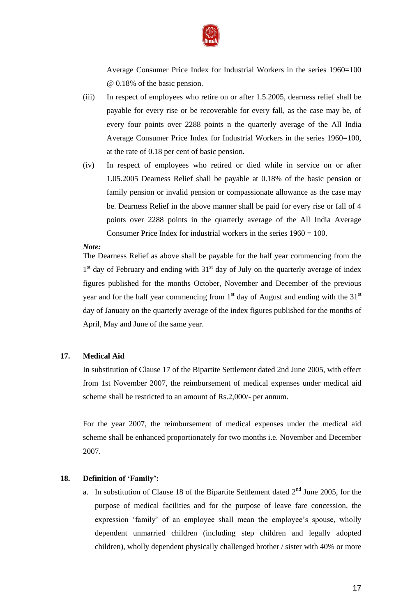

Average Consumer Price Index for Industrial Workers in the series 1960=100 @ 0.18% of the basic pension.

- (iii) In respect of employees who retire on or after 1.5.2005, dearness relief shall be payable for every rise or be recoverable for every fall, as the case may be, of every four points over 2288 points n the quarterly average of the All India Average Consumer Price Index for Industrial Workers in the series 1960=100, at the rate of 0.18 per cent of basic pension.
- (iv) In respect of employees who retired or died while in service on or after 1.05.2005 Dearness Relief shall be payable at 0.18% of the basic pension or family pension or invalid pension or compassionate allowance as the case may be. Dearness Relief in the above manner shall be paid for every rise or fall of 4 points over 2288 points in the quarterly average of the All India Average Consumer Price Index for industrial workers in the series 1960 = 100.

#### *Note:*

The Dearness Relief as above shall be payable for the half year commencing from the 1<sup>st</sup> day of February and ending with 31<sup>st</sup> day of July on the quarterly average of index figures published for the months October, November and December of the previous year and for the half year commencing from  $1<sup>st</sup>$  day of August and ending with the 31 $<sup>st</sup>$ </sup> day of January on the quarterly average of the index figures published for the months of April, May and June of the same year.

#### **17. Medical Aid**

In substitution of Clause 17 of the Bipartite Settlement dated 2nd June 2005, with effect from 1st November 2007, the reimbursement of medical expenses under medical aid scheme shall be restricted to an amount of Rs.2,000/- per annum.

For the year 2007, the reimbursement of medical expenses under the medical aid scheme shall be enhanced proportionately for two months i.e. November and December 2007.

## **18. Definition of 'Family':**

a. In substitution of Clause 18 of the Bipartite Settlement dated  $2<sup>nd</sup>$  June 2005, for the purpose of medical facilities and for the purpose of leave fare concession, the expression 'family' of an employee shall mean the employee's spouse, wholly dependent unmarried children (including step children and legally adopted children), wholly dependent physically challenged brother / sister with 40% or more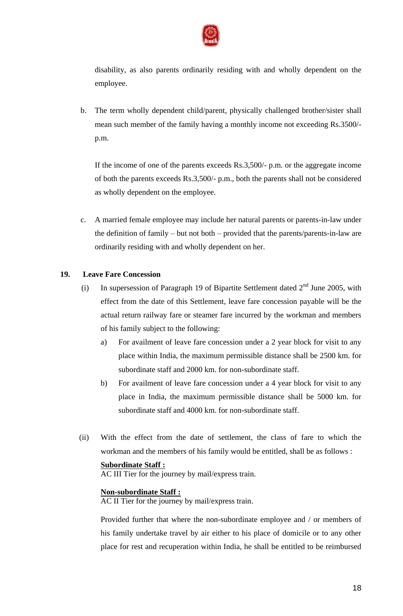

disability, as also parents ordinarily residing with and wholly dependent on the employee.

b. The term wholly dependent child/parent, physically challenged brother/sister shall mean such member of the family having a monthly income not exceeding Rs.3500/ p.m.

If the income of one of the parents exceeds Rs.3,500/- p.m. or the aggregate income of both the parents exceeds Rs.3,500/- p.m., both the parents shall not be considered as wholly dependent on the employee.

c. A married female employee may include her natural parents or parents-in-law under the definition of family – but not both – provided that the parents/parents-in-law are ordinarily residing with and wholly dependent on her.

## **19. Leave Fare Concession**

- (i) In supersession of Paragraph 19 of Bipartite Settlement dated  $2<sup>nd</sup>$  June 2005, with effect from the date of this Settlement, leave fare concession payable will be the actual return railway fare or steamer fare incurred by the workman and members of his family subject to the following:
	- a) For availment of leave fare concession under a 2 year block for visit to any place within India, the maximum permissible distance shall be 2500 km. for subordinate staff and 2000 km. for non-subordinate staff.
	- b) For availment of leave fare concession under a 4 year block for visit to any place in India, the maximum permissible distance shall be 5000 km. for subordinate staff and 4000 km. for non-subordinate staff.
- (ii) With the effect from the date of settlement, the class of fare to which the workman and the members of his family would be entitled, shall be as follows :

## **Subordinate Staff :**

AC III Tier for the journey by mail/express train.

## **Non-subordinate Staff :**

AC II Tier for the journey by mail/express train.

Provided further that where the non-subordinate employee and / or members of his family undertake travel by air either to his place of domicile or to any other place for rest and recuperation within India, he shall be entitled to be reimbursed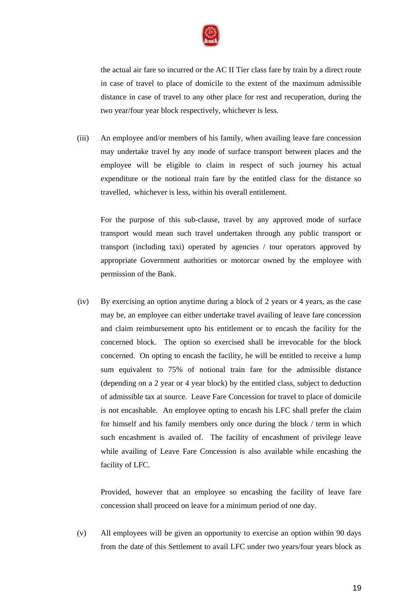

the actual air fare so incurred or the AC II Tier class fare by train by a direct route in case of travel to place of domicile to the extent of the maximum admissible distance in case of travel to any other place for rest and recuperation, during the two year/four year block respectively, whichever is less.

(iii) An employee and/or members of his family, when availing leave fare concession may undertake travel by any mode of surface transport between places and the employee will be eligible to claim in respect of such journey his actual expenditure or the notional train fare by the entitled class for the distance so travelled, whichever is less, within his overall entitlement.

For the purpose of this sub-clause, travel by any approved mode of surface transport would mean such travel undertaken through any public transport or transport (including taxi) operated by agencies / tour operators approved by appropriate Government authorities or motorcar owned by the employee with permission of the Bank.

(iv) By exercising an option anytime during a block of 2 years or 4 years, as the case may be, an employee can either undertake travel availing of leave fare concession and claim reimbursement upto his entitlement or to encash the facility for the concerned block. The option so exercised shall be irrevocable for the block concerned. On opting to encash the facility, he will be entitled to receive a lump sum equivalent to 75% of notional train fare for the admissible distance (depending on a 2 year or 4 year block) by the entitled class, subject to deduction of admissible tax at source. Leave Fare Concession for travel to place of domicile is not encashable. An employee opting to encash his LFC shall prefer the claim for himself and his family members only once during the block / term in which such encashment is availed of. The facility of encashment of privilege leave while availing of Leave Fare Concession is also available while encashing the facility of LFC.

Provided, however that an employee so encashing the facility of leave fare concession shall proceed on leave for a minimum period of one day.

(v) All employees will be given an opportunity to exercise an option within 90 days from the date of this Settlement to avail LFC under two years/four years block as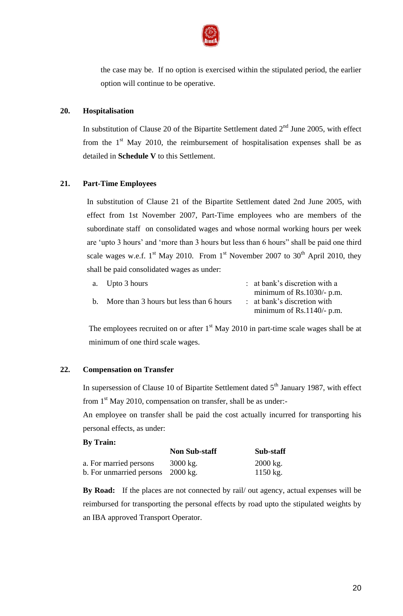

the case may be. If no option is exercised within the stipulated period, the earlier option will continue to be operative.

## **20. Hospitalisation**

In substitution of Clause 20 of the Bipartite Settlement dated  $2<sup>nd</sup>$  June 2005, with effect from the  $1<sup>st</sup>$  May 2010, the reimbursement of hospitalisation expenses shall be as detailed in **Schedule V** to this Settlement.

## **21. Part-Time Employees**

In substitution of Clause 21 of the Bipartite Settlement dated 2nd June 2005, with effect from 1st November 2007, Part-Time employees who are members of the subordinate staff on consolidated wages and whose normal working hours per week are "upto 3 hours" and "more than 3 hours but less than 6 hours" shall be paid one third scale wages w.e.f.  $1^{st}$  May 2010. From  $1^{st}$  November 2007 to 30<sup>th</sup> April 2010, they shall be paid consolidated wages as under:

| a. Upto 3 hours                            | : at bank's discretion with a          |
|--------------------------------------------|----------------------------------------|
|                                            | minimum of $Rs.1030/- p.m.$            |
| b. More than 3 hours but less than 6 hours | $\therefore$ at bank's discretion with |
|                                            | minimum of $Rs.1140/- p.m.$            |

The employees recruited on or after  $1<sup>st</sup>$  May 2010 in part-time scale wages shall be at minimum of one third scale wages.

## **22. Compensation on Transfer**

In supersession of Clause 10 of Bipartite Settlement dated  $5<sup>th</sup>$  January 1987, with effect from  $1<sup>st</sup>$  May 2010, compensation on transfer, shall be as under:-

An employee on transfer shall be paid the cost actually incurred for transporting his personal effects, as under:

## **By Train:**

|                                   | <b>Non Sub-staff</b> | Sub-staff           |
|-----------------------------------|----------------------|---------------------|
| a. For married persons            | $3000 \text{ kg}$ .  | $2000 \text{ kg}$ . |
| b. For unmarried persons 2000 kg. |                      | $1150 \text{ kg}$ . |

**By Road:** If the places are not connected by rail/ out agency, actual expenses will be reimbursed for transporting the personal effects by road upto the stipulated weights by an IBA approved Transport Operator.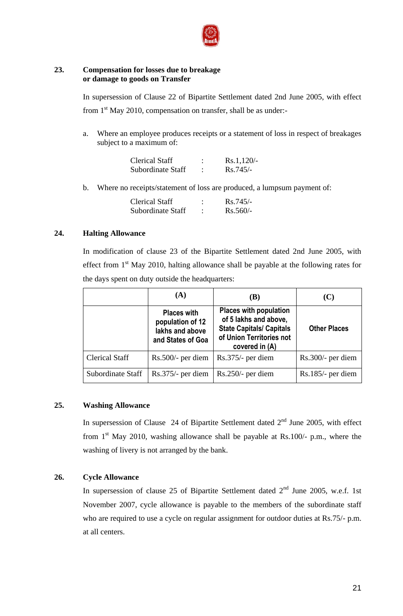

## **23. Compensation for losses due to breakage or damage to goods on Transfer**

In supersession of Clause 22 of Bipartite Settlement dated 2nd June 2005, with effect from  $1<sup>st</sup>$  May 2010, compensation on transfer, shall be as under:-

a. Where an employee produces receipts or a statement of loss in respect of breakages subject to a maximum of:

| <b>Clerical Staff</b> | Rs.1,120/  |
|-----------------------|------------|
| Subordinate Staff     | $Rs.745/-$ |

b. Where no receipts/statement of loss are produced, a lumpsum payment of:

| Clerical Staff    | $Rs.745/-$ |
|-------------------|------------|
| Subordinate Staff | $Rs.560/-$ |

## **24. Halting Allowance**

In modification of clause 23 of the Bipartite Settlement dated 2nd June 2005, with effect from  $1<sup>st</sup>$  May 2010, halting allowance shall be payable at the following rates for the days spent on duty outside the headquarters:

|                       | (A)                                                                            | (B)                                                                                                                                     | (C)                 |
|-----------------------|--------------------------------------------------------------------------------|-----------------------------------------------------------------------------------------------------------------------------------------|---------------------|
|                       | <b>Places with</b><br>population of 12<br>lakhs and above<br>and States of Goa | <b>Places with population</b><br>of 5 lakhs and above,<br><b>State Capitals/ Capitals</b><br>of Union Territories not<br>covered in (A) | <b>Other Places</b> |
| <b>Clerical Staff</b> | $Rs.500/-$ per diem                                                            | $Rs.375/-$ per diem                                                                                                                     | $Rs.300/-$ per diem |
| Subordinate Staff     | $Rs.375/-$ per diem                                                            | $Rs.250/-$ per diem                                                                                                                     | $Rs.185/-$ per diem |

## **25. Washing Allowance**

In supersession of Clause 24 of Bipartite Settlement dated  $2<sup>nd</sup>$  June 2005, with effect from  $1<sup>st</sup>$  May 2010, washing allowance shall be payable at Rs.100/- p.m., where the washing of livery is not arranged by the bank.

## **26. Cycle Allowance**

In supersession of clause 25 of Bipartite Settlement dated  $2<sup>nd</sup>$  June 2005, w.e.f. 1st November 2007, cycle allowance is payable to the members of the subordinate staff who are required to use a cycle on regular assignment for outdoor duties at Rs.75/- p.m. at all centers.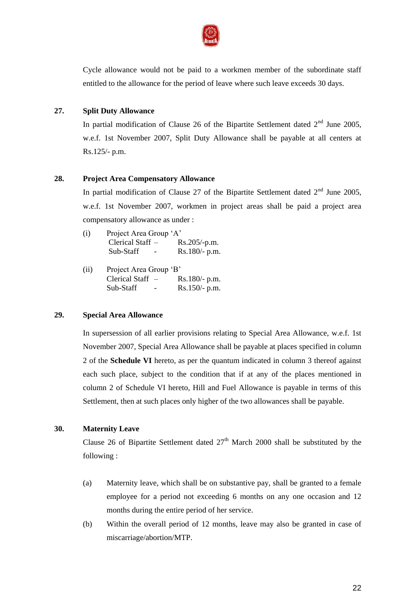

Cycle allowance would not be paid to a workmen member of the subordinate staff entitled to the allowance for the period of leave where such leave exceeds 30 days.

## **27. Split Duty Allowance**

In partial modification of Clause 26 of the Bipartite Settlement dated  $2<sup>nd</sup>$  June 2005, w.e.f. 1st November 2007, Split Duty Allowance shall be payable at all centers at Rs.125/- p.m.

## **28. Project Area Compensatory Allowance**

In partial modification of Clause 27 of the Bipartite Settlement dated  $2<sup>nd</sup>$  June 2005, w.e.f. 1st November 2007, workmen in project areas shall be paid a project area compensatory allowance as under :

| (i) | Project Area Group 'A' |                 |
|-----|------------------------|-----------------|
|     | Clerical Staff $-$     | $Rs.205/-p.m.$  |
|     | Sub-Staff              | $Rs.180/- p.m.$ |

| (ii) | Project Area Group 'B' |                 |  |
|------|------------------------|-----------------|--|
|      | Clerical Staff $-$     | $Rs.180/- p.m.$ |  |
|      | Sub-Staff              | $Rs.150/- p.m.$ |  |

## **29. Special Area Allowance**

In supersession of all earlier provisions relating to Special Area Allowance, w.e.f. 1st November 2007, Special Area Allowance shall be payable at places specified in column 2 of the **Schedule VI** hereto, as per the quantum indicated in column 3 thereof against each such place, subject to the condition that if at any of the places mentioned in column 2 of Schedule VI hereto, Hill and Fuel Allowance is payable in terms of this Settlement, then at such places only higher of the two allowances shall be payable.

## **30. Maternity Leave**

Clause 26 of Bipartite Settlement dated  $27<sup>th</sup>$  March 2000 shall be substituted by the following :

- (a) Maternity leave, which shall be on substantive pay, shall be granted to a female employee for a period not exceeding 6 months on any one occasion and 12 months during the entire period of her service.
- (b) Within the overall period of 12 months, leave may also be granted in case of miscarriage/abortion/MTP.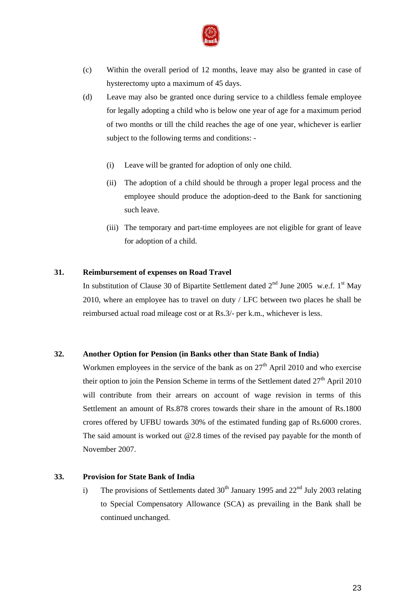

- (c) Within the overall period of 12 months, leave may also be granted in case of hysterectomy upto a maximum of 45 days.
- (d) Leave may also be granted once during service to a childless female employee for legally adopting a child who is below one year of age for a maximum period of two months or till the child reaches the age of one year, whichever is earlier subject to the following terms and conditions: -
	- (i) Leave will be granted for adoption of only one child.
	- (ii) The adoption of a child should be through a proper legal process and the employee should produce the adoption-deed to the Bank for sanctioning such leave.
	- (iii) The temporary and part-time employees are not eligible for grant of leave for adoption of a child.

## **31. Reimbursement of expenses on Road Travel**

In substitution of Clause 30 of Bipartite Settlement dated  $2<sup>nd</sup>$  June 2005 w.e.f. 1<sup>st</sup> May 2010, where an employee has to travel on duty / LFC between two places he shall be reimbursed actual road mileage cost or at Rs.3/- per k.m., whichever is less.

# **32. Another Option for Pension (in Banks other than State Bank of India)**

Workmen employees in the service of the bank as on  $27<sup>th</sup>$  April 2010 and who exercise their option to join the Pension Scheme in terms of the Settlement dated  $27<sup>th</sup>$  April 2010 will contribute from their arrears on account of wage revision in terms of this Settlement an amount of Rs.878 crores towards their share in the amount of Rs.1800 crores offered by UFBU towards 30% of the estimated funding gap of Rs.6000 crores. The said amount is worked out @2.8 times of the revised pay payable for the month of November 2007.

## **33. Provision for State Bank of India**

i) The provisions of Settlements dated  $30<sup>th</sup>$  January 1995 and  $22<sup>nd</sup>$  July 2003 relating to Special Compensatory Allowance (SCA) as prevailing in the Bank shall be continued unchanged.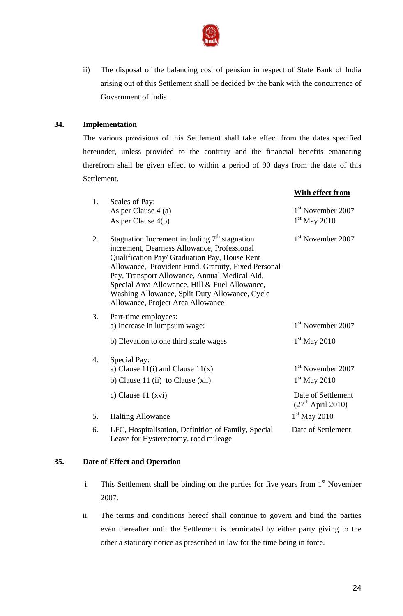

ii) The disposal of the balancing cost of pension in respect of State Bank of India arising out of this Settlement shall be decided by the bank with the concurrence of Government of India.

## **34. Implementation**

The various provisions of this Settlement shall take effect from the dates specified hereunder, unless provided to the contrary and the financial benefits emanating therefrom shall be given effect to within a period of 90 days from the date of this Settlement.

|    |                                                                                                                                                                                                                                                                                                                                                                                                  | With effect from                          |
|----|--------------------------------------------------------------------------------------------------------------------------------------------------------------------------------------------------------------------------------------------------------------------------------------------------------------------------------------------------------------------------------------------------|-------------------------------------------|
| 1. | Scales of Pay:                                                                                                                                                                                                                                                                                                                                                                                   |                                           |
|    | As per Clause 4 (a)                                                                                                                                                                                                                                                                                                                                                                              | $1st$ November 2007                       |
|    | As per Clause 4(b)                                                                                                                                                                                                                                                                                                                                                                               | $1st$ May 2010                            |
| 2. | Stagnation Increment including $7th$ stagnation<br>increment, Dearness Allowance, Professional<br>Qualification Pay/ Graduation Pay, House Rent<br>Allowance, Provident Fund, Gratuity, Fixed Personal<br>Pay, Transport Allowance, Annual Medical Aid,<br>Special Area Allowance, Hill & Fuel Allowance,<br>Washing Allowance, Split Duty Allowance, Cycle<br>Allowance, Project Area Allowance | $1st$ November 2007                       |
| 3. | Part-time employees:<br>a) Increase in lumpsum wage:                                                                                                                                                                                                                                                                                                                                             | $1st$ November 2007                       |
|    | b) Elevation to one third scale wages                                                                                                                                                                                                                                                                                                                                                            | $1st$ May 2010                            |
| 4. | Special Pay:                                                                                                                                                                                                                                                                                                                                                                                     |                                           |
|    | a) Clause $11(i)$ and Clause $11(x)$                                                                                                                                                                                                                                                                                                                                                             | 1 <sup>st</sup> November 2007             |
|    | b) Clause $11$ (ii) to Clause (xii)                                                                                                                                                                                                                                                                                                                                                              | $1st$ May 2010                            |
|    | c) Clause 11 (xvi)                                                                                                                                                                                                                                                                                                                                                                               | Date of Settlement<br>$(27th$ April 2010) |
| 5. | <b>Halting Allowance</b>                                                                                                                                                                                                                                                                                                                                                                         | $1st$ May 2010                            |
| 6. | LFC, Hospitalisation, Definition of Family, Special<br>Leave for Hysterectomy, road mileage                                                                                                                                                                                                                                                                                                      | Date of Settlement                        |

## **35. Date of Effect and Operation**

- i. This Settlement shall be binding on the parties for five years from  $1<sup>st</sup>$  November 2007.
- ii. The terms and conditions hereof shall continue to govern and bind the parties even thereafter until the Settlement is terminated by either party giving to the other a statutory notice as prescribed in law for the time being in force.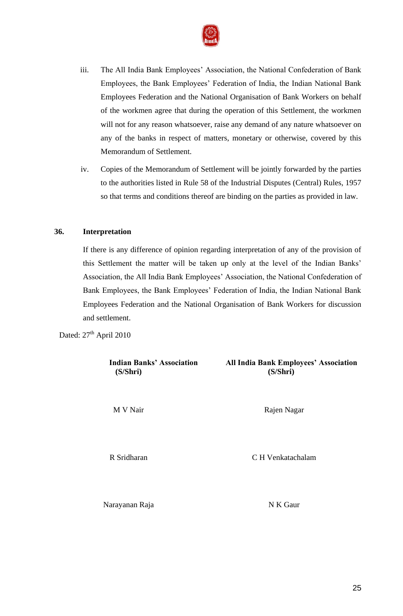

- iii. The All India Bank Employees' Association, the National Confederation of Bank Employees, the Bank Employees" Federation of India, the Indian National Bank Employees Federation and the National Organisation of Bank Workers on behalf of the workmen agree that during the operation of this Settlement, the workmen will not for any reason whatsoever, raise any demand of any nature whatsoever on any of the banks in respect of matters, monetary or otherwise, covered by this Memorandum of Settlement.
- iv. Copies of the Memorandum of Settlement will be jointly forwarded by the parties to the authorities listed in Rule 58 of the Industrial Disputes (Central) Rules, 1957 so that terms and conditions thereof are binding on the parties as provided in law.

## **36. Interpretation**

If there is any difference of opinion regarding interpretation of any of the provision of this Settlement the matter will be taken up only at the level of the Indian Banks" Association, the All India Bank Employees" Association, the National Confederation of Bank Employees, the Bank Employees" Federation of India, the Indian National Bank Employees Federation and the National Organisation of Bank Workers for discussion and settlement.

Dated:  $27^{\text{th}}$  April 2010

| <b>Indian Banks' Association</b><br>(S/Shri) | <b>All India Bank Employees' Association</b><br>(S/Shri) |
|----------------------------------------------|----------------------------------------------------------|
| M V Nair                                     | Rajen Nagar                                              |
| R Sridharan                                  | C H Venkatachalam                                        |
| Narayanan Raja                               | N K Gaur                                                 |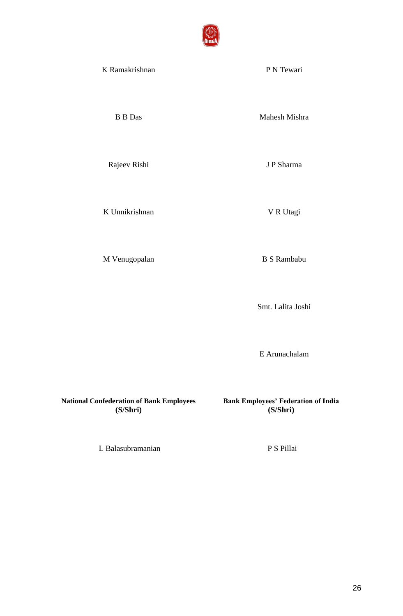

| K Ramakrishnan | P N Tewari    |
|----------------|---------------|
| <b>B Das</b>   | Mahesh Mishra |
| Rajeev Rishi   | J P Sharma    |
|                |               |

K Unnikrishnan V R Utagi

M Venugopalan B S Rambabu

Smt. Lalita Joshi

E Arunachalam

**National Confederation of Bank Employees (S/Shri)**

**Bank Employees' Federation of India (S/Shri)**

L Balasubramanian P S Pillai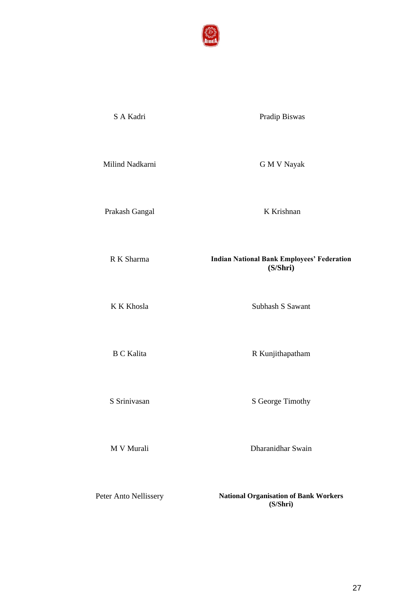

S A Kadri Pradip Biswas

Milind Nadkarni G M V Nayak

Prakash Gangal K Krishnan

R K Sharma **Indian National Bank Employees' Federation**

K K Khosla Subhash S Sawant

**(S/Shri)**

B C Kalita R Kunjithapatham

S Srinivasan S George Timothy

M V Murali Dharanidhar Swain

Peter Anto Nellissery **National Organisation of Bank Workers (S/Shri)**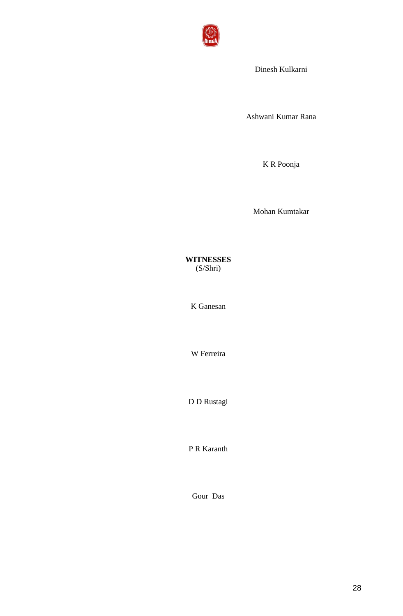

Dinesh Kulkarni

Ashwani Kumar Rana

K R Poonja

Mohan Kumtakar

**WITNESSES** (S/Shri)

K Ganesan

W Ferreira

D D Rustagi

P R Karanth

Gour Das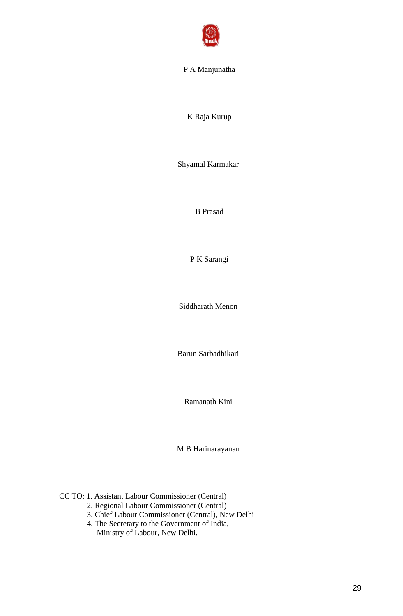

## P A Manjunatha

K Raja Kurup

Shyamal Karmakar

B Prasad

P K Sarangi

Siddharath Menon

Barun Sarbadhikari

Ramanath Kini

M B Harinarayanan

CC TO: 1. Assistant Labour Commissioner (Central)

- 2. Regional Labour Commissioner (Central)
- 3. Chief Labour Commissioner (Central), New Delhi
- 4. The Secretary to the Government of India, Ministry of Labour, New Delhi.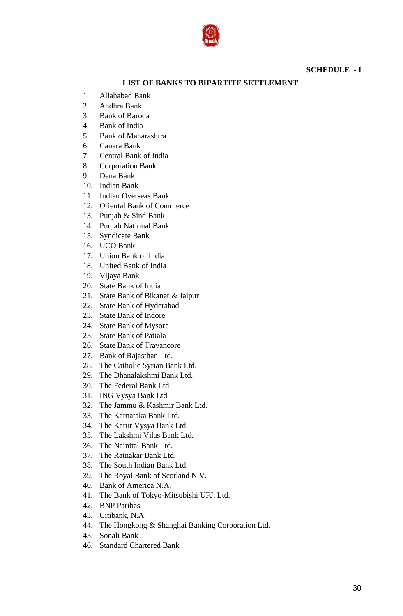

## **SCHEDULE - I**

## **LIST OF BANKS TO BIPARTITE SETTLEMENT**

- 1. Allahabad Bank
- 2. Andhra Bank
- 3. Bank of Baroda
- 4. Bank of India
- 5. Bank of Maharashtra
- 6. Canara Bank
- 7. Central Bank of India
- 8. Corporation Bank
- 9. Dena Bank
- 10. Indian Bank
- 11. Indian Overseas Bank
- 12. Oriental Bank of Commerce
- 13. Punjab & Sind Bank
- 14. Punjab National Bank
- 15. Syndicate Bank
- 16. UCO Bank
- 17. Union Bank of India
- 18. United Bank of India
- 19. Vijaya Bank
- 20. State Bank of India
- 21. State Bank of Bikaner & Jaipur
- 22. State Bank of Hyderabad
- 23. State Bank of Indore
- 24. State Bank of Mysore
- 25. State Bank of Patiala
- 26. State Bank of Travancore
- 27. Bank of Rajasthan Ltd.
- 28. The Catholic Syrian Bank Ltd.
- 29. The Dhanalakshmi Bank Ltd.
- 30. The Federal Bank Ltd.
- 31. ING Vysya Bank Ltd
- 32. The Jammu & Kashmir Bank Ltd.
- 33. The Karnataka Bank Ltd.
- 34. The Karur Vysya Bank Ltd.
- 35. The Lakshmi Vilas Bank Ltd.
- 36. The Nainital Bank Ltd.
- 37. The Ratnakar Bank Ltd.
- 38. The South Indian Bank Ltd.
- 39. The Royal Bank of Scotland N.V.
- 40. Bank of America N.A.
- 41. The Bank of Tokyo-Mitsubishi UFJ, Ltd.
- 42. BNP Paribas
- 43. Citibank, N.A.
- 44. The Hongkong & Shanghai Banking Corporation Ltd.
- 45. Sonali Bank
- 46. Standard Chartered Bank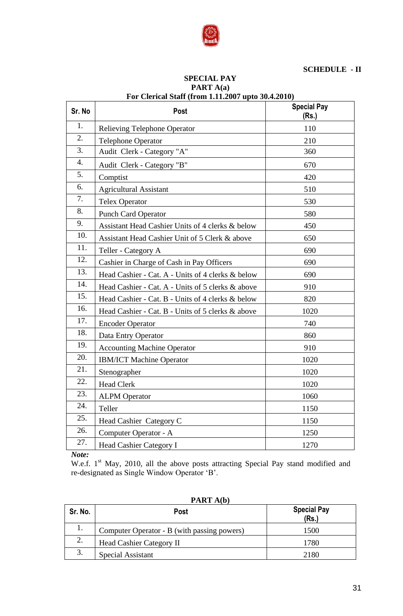

## **SCHEDULE - II**

#### **SPECIAL PAY PART A(a) For Clerical Staff (from 1.11.2007 upto 30.4.2010)**

| Sr. No | <b>Post</b>                                       | <b>Special Pay</b><br>(Rs.) |
|--------|---------------------------------------------------|-----------------------------|
| 1.     | <b>Relieving Telephone Operator</b>               | 110                         |
| 2.     | <b>Telephone Operator</b>                         | 210                         |
| 3.     | Audit Clerk - Category "A"                        | 360                         |
| 4.     | Audit Clerk - Category "B"                        | 670                         |
| 5.     | Comptist                                          | 420                         |
| 6.     | <b>Agricultural Assistant</b>                     | 510                         |
| 7.     | <b>Telex Operator</b>                             | 530                         |
| 8.     | <b>Punch Card Operator</b>                        | 580                         |
| 9.     | Assistant Head Cashier Units of 4 clerks & below  | 450                         |
| 10.    | Assistant Head Cashier Unit of 5 Clerk & above    | 650                         |
| 11.    | Teller - Category A                               | 690                         |
| 12.    | Cashier in Charge of Cash in Pay Officers         | 690                         |
| 13.    | Head Cashier - Cat. A - Units of 4 clerks & below | 690                         |
| 14.    | Head Cashier - Cat. A - Units of 5 clerks & above | 910                         |
| 15.    | Head Cashier - Cat. B - Units of 4 clerks & below | 820                         |
| 16.    | Head Cashier - Cat. B - Units of 5 clerks & above | 1020                        |
| 17.    | <b>Encoder Operator</b>                           | 740                         |
| 18.    | Data Entry Operator                               | 860                         |
| 19.    | <b>Accounting Machine Operator</b>                | 910                         |
| 20.    | <b>IBM/ICT Machine Operator</b>                   | 1020                        |
| 21.    | Stenographer                                      | 1020                        |
| 22.    | <b>Head Clerk</b>                                 | 1020                        |
| 23.    | <b>ALPM</b> Operator                              | 1060                        |
| 24.    | Teller                                            | 1150                        |
| 25.    | Head Cashier Category C                           | 1150                        |
| 26.    | Computer Operator - A                             | 1250                        |
| 27.    | Head Cashier Category I                           | 1270                        |

*Note:*

W.e.f. 1<sup>st</sup> May, 2010, all the above posts attracting Special Pay stand modified and re-designated as Single Window Operator "B".

| Sr. No. | <b>Post</b>                                 | <b>Special Pay</b><br>(Rs.) |
|---------|---------------------------------------------|-----------------------------|
|         | Computer Operator - B (with passing powers) | 1500                        |
| 2.      | <b>Head Cashier Category II</b>             | 1780                        |
| 3.      | Special Assistant                           | 2180                        |

**PART A(b)**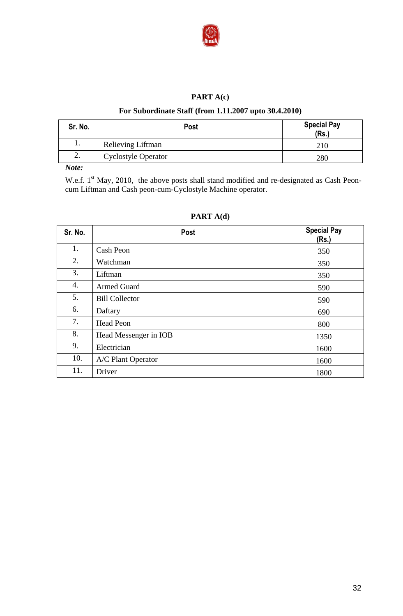

## **PART A(c)**

## **For Subordinate Staff (from 1.11.2007 upto 30.4.2010)**

| Sr. No. | <b>Post</b>                | <b>Special Pay</b><br>(Rs.) |
|---------|----------------------------|-----------------------------|
| . .     | Relieving Liftman          | 210                         |
| ـ _     | <b>Cyclostyle Operator</b> | 280                         |

# *Note:*

W.e.f.  $1<sup>st</sup>$  May, 2010, the above posts shall stand modified and re-designated as Cash Peoncum Liftman and Cash peon-cum-Cyclostyle Machine operator.

## **PART A(d)**

| Sr. No. | <b>Post</b>           | <b>Special Pay</b><br>(Rs.) |
|---------|-----------------------|-----------------------------|
| 1.      | Cash Peon             | 350                         |
| 2.      | Watchman              | 350                         |
| 3.      | Liftman               | 350                         |
| 4.      | <b>Armed Guard</b>    | 590                         |
| 5.      | <b>Bill Collector</b> | 590                         |
| 6.      | Daftary               | 690                         |
| 7.      | Head Peon             | 800                         |
| 8.      | Head Messenger in IOB | 1350                        |
| 9.      | Electrician           | 1600                        |
| 10.     | A/C Plant Operator    | 1600                        |
| 11.     | Driver                | 1800                        |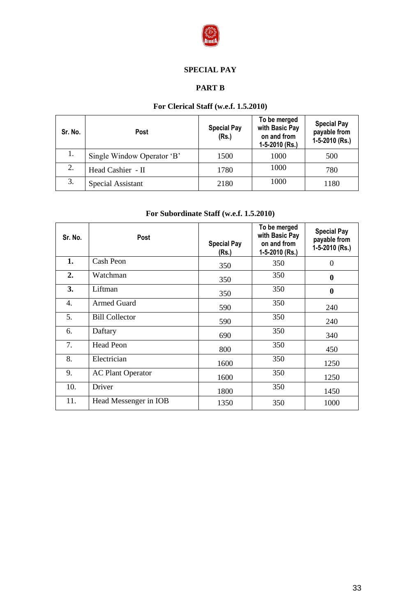

# **SPECIAL PAY**

# **PART B**

# **For Clerical Staff (w.e.f. 1.5.2010)**

| Sr. No. | <b>Post</b>                | <b>Special Pay</b><br>(Rs.) | To be merged<br>with Basic Pay<br>on and from<br>1-5-2010 (Rs.) | <b>Special Pay</b><br>payable from<br>1-5-2010 (Rs.) |
|---------|----------------------------|-----------------------------|-----------------------------------------------------------------|------------------------------------------------------|
| 1.      | Single Window Operator 'B' | 1500                        | 1000                                                            | 500                                                  |
| 2.      | Head Cashier - II          | 1780                        | 1000                                                            | 780                                                  |
| 3.      | Special Assistant          | 2180                        | 1000                                                            | 1180                                                 |

# **For Subordinate Staff (w.e.f. 1.5.2010)**

| Sr. No.          | Post                     | <b>Special Pay</b><br>(Rs.) | To be merged<br>with Basic Pay<br>on and from<br>1-5-2010 (Rs.) | <b>Special Pay</b><br>payable from<br>1-5-2010 (Rs.) |
|------------------|--------------------------|-----------------------------|-----------------------------------------------------------------|------------------------------------------------------|
| 1.               | Cash Peon                | 350                         | 350                                                             | $\overline{0}$                                       |
| 2.               | Watchman                 | 350                         | 350                                                             | $\boldsymbol{0}$                                     |
| 3.               | Liftman                  | 350                         | 350                                                             | $\boldsymbol{0}$                                     |
| $\overline{4}$ . | <b>Armed Guard</b>       | 590                         | 350                                                             | 240                                                  |
| 5.               | <b>Bill Collector</b>    | 590                         | 350                                                             | 240                                                  |
| 6.               | Daftary                  | 690                         | 350                                                             | 340                                                  |
| 7.               | <b>Head Peon</b>         | 800                         | 350                                                             | 450                                                  |
| 8.               | Electrician              | 1600                        | 350                                                             | 1250                                                 |
| 9.               | <b>AC Plant Operator</b> | 1600                        | 350                                                             | 1250                                                 |
| 10.              | Driver                   | 1800                        | 350                                                             | 1450                                                 |
| 11.              | Head Messenger in IOB    | 1350                        | 350                                                             | 1000                                                 |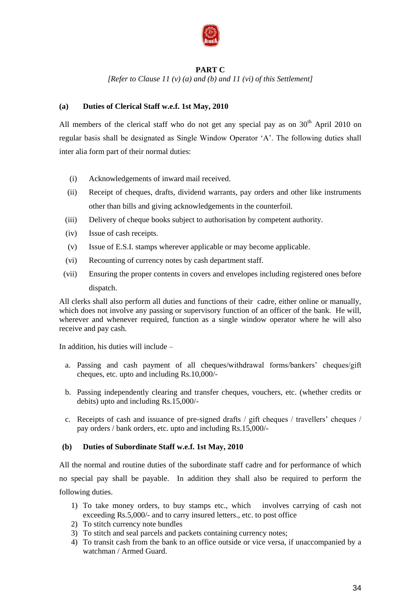

## **PART C**

*[Refer to Clause 11 (v) (a) and (b) and 11 (vi) of this Settlement]*

## **(a) Duties of Clerical Staff w.e.f. 1st May, 2010**

All members of the clerical staff who do not get any special pay as on  $30<sup>th</sup>$  April 2010 on regular basis shall be designated as Single Window Operator "A". The following duties shall inter alia form part of their normal duties:

- (i) Acknowledgements of inward mail received.
- (ii) Receipt of cheques, drafts, dividend warrants, pay orders and other like instruments other than bills and giving acknowledgements in the counterfoil.
- (iii) Delivery of cheque books subject to authorisation by competent authority.
- (iv) Issue of cash receipts.
- (v) Issue of E.S.I. stamps wherever applicable or may become applicable.
- (vi) Recounting of currency notes by cash department staff.
- (vii) Ensuring the proper contents in covers and envelopes including registered ones before dispatch.

All clerks shall also perform all duties and functions of their cadre, either online or manually, which does not involve any passing or supervisory function of an officer of the bank. He will, wherever and whenever required, function as a single window operator where he will also receive and pay cash.

In addition, his duties will include –

- a. Passing and cash payment of all cheques/withdrawal forms/bankers' cheques/gift cheques, etc. upto and including Rs.10,000/-
- b. Passing independently clearing and transfer cheques, vouchers, etc. (whether credits or debits) upto and including Rs.15,000/-
- c. Receipts of cash and issuance of pre-signed drafts / gift cheques / travellers" cheques / pay orders / bank orders, etc. upto and including Rs.15,000/-

## **(b) Duties of Subordinate Staff w.e.f. 1st May, 2010**

All the normal and routine duties of the subordinate staff cadre and for performance of which no special pay shall be payable. In addition they shall also be required to perform the following duties.

- 1) To take money orders, to buy stamps etc., which involves carrying of cash not exceeding Rs.5,000/- and to carry insured letters., etc. to post office
- 2) To stitch currency note bundles
- 3) To stitch and seal parcels and packets containing currency notes;
- 4) To transit cash from the bank to an office outside or vice versa, if unaccompanied by a watchman / Armed Guard.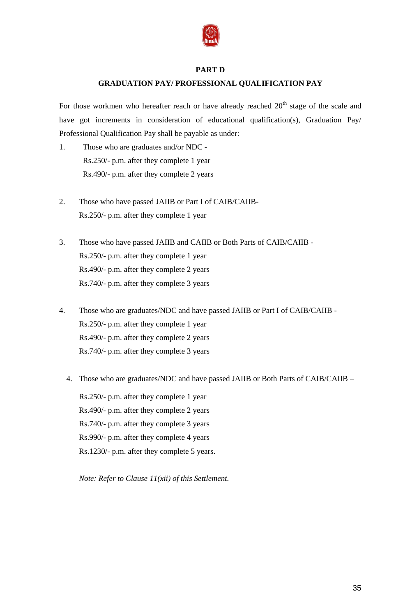

## **PART D**

# **GRADUATION PAY/ PROFESSIONAL QUALIFICATION PAY**

For those workmen who hereafter reach or have already reached  $20<sup>th</sup>$  stage of the scale and have got increments in consideration of educational qualification(s), Graduation Pay/ Professional Qualification Pay shall be payable as under:

- 1. Those who are graduates and/or NDC Rs.250/- p.m. after they complete 1 year Rs.490/- p.m. after they complete 2 years
- 2. Those who have passed JAIIB or Part I of CAIB/CAIIB-Rs.250/- p.m. after they complete 1 year
- 3. Those who have passed JAIIB and CAIIB or Both Parts of CAIB/CAIIB Rs.250/- p.m. after they complete 1 year Rs.490/- p.m. after they complete 2 years Rs.740/- p.m. after they complete 3 years
- 4. Those who are graduates/NDC and have passed JAIIB or Part I of CAIB/CAIIB Rs.250/- p.m. after they complete 1 year Rs.490/- p.m. after they complete 2 years Rs.740/- p.m. after they complete 3 years
	- 4. Those who are graduates/NDC and have passed JAIIB or Both Parts of CAIB/CAIIB –

Rs.250/- p.m. after they complete 1 year Rs.490/- p.m. after they complete 2 years Rs.740/- p.m. after they complete 3 years Rs.990/- p.m. after they complete 4 years Rs.1230/- p.m. after they complete 5 years.

*Note: Refer to Clause 11(xii) of this Settlement.*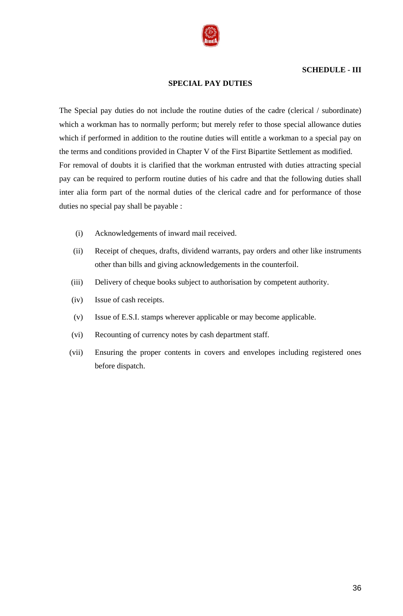

## **SCHEDULE - III**

#### **SPECIAL PAY DUTIES**

The Special pay duties do not include the routine duties of the cadre (clerical / subordinate) which a workman has to normally perform; but merely refer to those special allowance duties which if performed in addition to the routine duties will entitle a workman to a special pay on the terms and conditions provided in Chapter V of the First Bipartite Settlement as modified. For removal of doubts it is clarified that the workman entrusted with duties attracting special pay can be required to perform routine duties of his cadre and that the following duties shall inter alia form part of the normal duties of the clerical cadre and for performance of those duties no special pay shall be payable :

- (i) Acknowledgements of inward mail received.
- (ii) Receipt of cheques, drafts, dividend warrants, pay orders and other like instruments other than bills and giving acknowledgements in the counterfoil.
- (iii) Delivery of cheque books subject to authorisation by competent authority.
- (iv) Issue of cash receipts.
- (v) Issue of E.S.I. stamps wherever applicable or may become applicable.
- (vi) Recounting of currency notes by cash department staff.
- (vii) Ensuring the proper contents in covers and envelopes including registered ones before dispatch.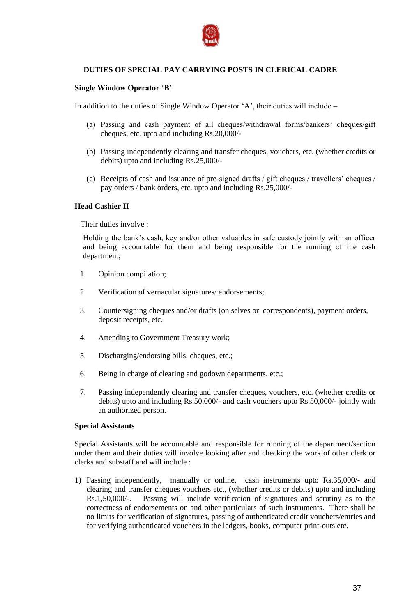

## **DUTIES OF SPECIAL PAY CARRYING POSTS IN CLERICAL CADRE**

#### **Single Window Operator 'B'**

In addition to the duties of Single Window Operator "A", their duties will include –

- (a) Passing and cash payment of all cheques/withdrawal forms/bankers' cheques/gift cheques, etc. upto and including Rs.20,000/-
- (b) Passing independently clearing and transfer cheques, vouchers, etc. (whether credits or debits) upto and including Rs.25,000/-
- (c) Receipts of cash and issuance of pre-signed drafts / gift cheques / travellers" cheques / pay orders / bank orders, etc. upto and including Rs.25,000/-

#### **Head Cashier II**

Their duties involve :

Holding the bank"s cash, key and/or other valuables in safe custody jointly with an officer and being accountable for them and being responsible for the running of the cash department;

- 1. Opinion compilation;
- 2. Verification of vernacular signatures/ endorsements;
- 3. Countersigning cheques and/or drafts (on selves or correspondents), payment orders, deposit receipts, etc.
- 4. Attending to Government Treasury work;
- 5. Discharging/endorsing bills, cheques, etc.;
- 6. Being in charge of clearing and godown departments, etc.;
- 7. Passing independently clearing and transfer cheques, vouchers, etc. (whether credits or debits) upto and including Rs.50,000/- and cash vouchers upto Rs.50,000/- jointly with an authorized person.

#### **Special Assistants**

Special Assistants will be accountable and responsible for running of the department/section under them and their duties will involve looking after and checking the work of other clerk or clerks and substaff and will include :

1) Passing independently, manually or online, cash instruments upto Rs.35,000/- and clearing and transfer cheques vouchers etc., (whether credits or debits) upto and including Rs.1,50,000/-. Passing will include verification of signatures and scrutiny as to the correctness of endorsements on and other particulars of such instruments. There shall be no limits for verification of signatures, passing of authenticated credit vouchers/entries and for verifying authenticated vouchers in the ledgers, books, computer print-outs etc.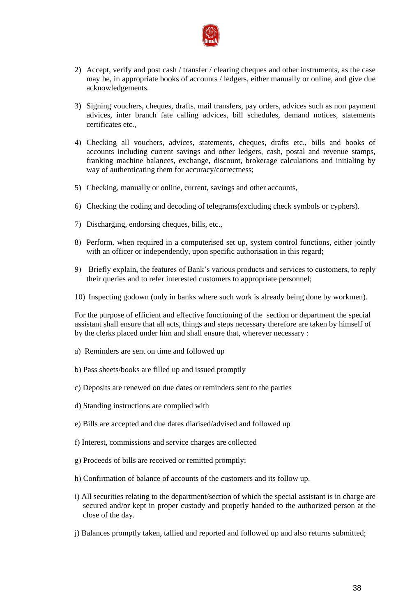

- 2) Accept, verify and post cash / transfer / clearing cheques and other instruments, as the case may be, in appropriate books of accounts / ledgers, either manually or online, and give due acknowledgements.
- 3) Signing vouchers, cheques, drafts, mail transfers, pay orders, advices such as non payment advices, inter branch fate calling advices, bill schedules, demand notices, statements certificates etc.,
- 4) Checking all vouchers, advices, statements, cheques, drafts etc., bills and books of accounts including current savings and other ledgers, cash, postal and revenue stamps, franking machine balances, exchange, discount, brokerage calculations and initialing by way of authenticating them for accuracy/correctness;
- 5) Checking, manually or online, current, savings and other accounts,
- 6) Checking the coding and decoding of telegrams(excluding check symbols or cyphers).
- 7) Discharging, endorsing cheques, bills, etc.,
- 8) Perform, when required in a computerised set up, system control functions, either jointly with an officer or independently, upon specific authorisation in this regard;
- 9) Briefly explain, the features of Bank"s various products and services to customers, to reply their queries and to refer interested customers to appropriate personnel;
- 10) Inspecting godown (only in banks where such work is already being done by workmen).

For the purpose of efficient and effective functioning of the section or department the special assistant shall ensure that all acts, things and steps necessary therefore are taken by himself of by the clerks placed under him and shall ensure that, wherever necessary :

- a) Reminders are sent on time and followed up
- b) Pass sheets/books are filled up and issued promptly
- c) Deposits are renewed on due dates or reminders sent to the parties
- d) Standing instructions are complied with
- e) Bills are accepted and due dates diarised/advised and followed up
- f) Interest, commissions and service charges are collected
- g) Proceeds of bills are received or remitted promptly;
- h) Confirmation of balance of accounts of the customers and its follow up.
- i) All securities relating to the department/section of which the special assistant is in charge are secured and/or kept in proper custody and properly handed to the authorized person at the close of the day.
- j) Balances promptly taken, tallied and reported and followed up and also returns submitted;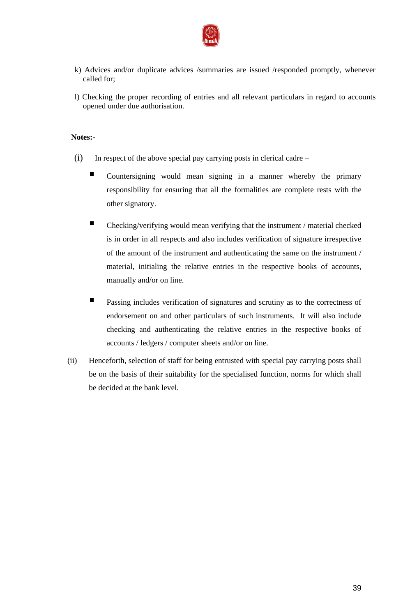

- k) Advices and/or duplicate advices /summaries are issued /responded promptly, whenever called for;
- l) Checking the proper recording of entries and all relevant particulars in regard to accounts opened under due authorisation.

## **Notes:-**

- (i) In respect of the above special pay carrying posts in clerical cadre
	- Countersigning would mean signing in a manner whereby the primary responsibility for ensuring that all the formalities are complete rests with the other signatory.
	- Checking/verifying would mean verifying that the instrument / material checked is in order in all respects and also includes verification of signature irrespective of the amount of the instrument and authenticating the same on the instrument / material, initialing the relative entries in the respective books of accounts, manually and/or on line.
	- **Passing includes verification of signatures and scrutiny as to the correctness of** endorsement on and other particulars of such instruments. It will also include checking and authenticating the relative entries in the respective books of accounts / ledgers / computer sheets and/or on line.
- (ii) Henceforth, selection of staff for being entrusted with special pay carrying posts shall be on the basis of their suitability for the specialised function, norms for which shall be decided at the bank level.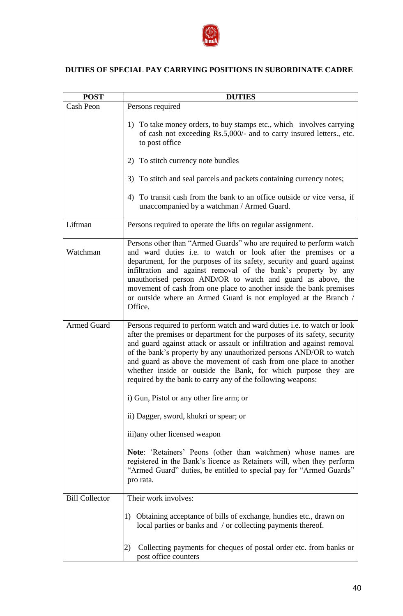

# **DUTIES OF SPECIAL PAY CARRYING POSITIONS IN SUBORDINATE CADRE**

| <b>POST</b>           | <b>DUTIES</b>                                                                                                                                                                                                                                                                                                                                                                                                                                                                                               |  |  |
|-----------------------|-------------------------------------------------------------------------------------------------------------------------------------------------------------------------------------------------------------------------------------------------------------------------------------------------------------------------------------------------------------------------------------------------------------------------------------------------------------------------------------------------------------|--|--|
| Cash Peon             | Persons required                                                                                                                                                                                                                                                                                                                                                                                                                                                                                            |  |  |
|                       | 1) To take money orders, to buy stamps etc., which involves carrying<br>of cash not exceeding Rs.5,000/- and to carry insured letters., etc.<br>to post office                                                                                                                                                                                                                                                                                                                                              |  |  |
|                       | To stitch currency note bundles<br>2)                                                                                                                                                                                                                                                                                                                                                                                                                                                                       |  |  |
|                       | 3) To stitch and seal parcels and packets containing currency notes;                                                                                                                                                                                                                                                                                                                                                                                                                                        |  |  |
|                       | 4) To transit cash from the bank to an office outside or vice versa, if<br>unaccompanied by a watchman / Armed Guard.                                                                                                                                                                                                                                                                                                                                                                                       |  |  |
| Liftman               | Persons required to operate the lifts on regular assignment.                                                                                                                                                                                                                                                                                                                                                                                                                                                |  |  |
| Watchman              | Persons other than "Armed Guards" who are required to perform watch<br>and ward duties i.e. to watch or look after the premises or a<br>department, for the purposes of its safety, security and guard against<br>infiltration and against removal of the bank's property by any<br>unauthorised person AND/OR to watch and guard as above, the<br>movement of cash from one place to another inside the bank premises<br>or outside where an Armed Guard is not employed at the Branch /<br>Office.        |  |  |
| <b>Armed Guard</b>    | Persons required to perform watch and ward duties i.e. to watch or look<br>after the premises or department for the purposes of its safety, security<br>and guard against attack or assault or infiltration and against removal<br>of the bank's property by any unauthorized persons AND/OR to watch<br>and guard as above the movement of cash from one place to another<br>whether inside or outside the Bank, for which purpose they are<br>required by the bank to carry any of the following weapons: |  |  |
|                       | i) Gun, Pistol or any other fire arm; or                                                                                                                                                                                                                                                                                                                                                                                                                                                                    |  |  |
|                       | ii) Dagger, sword, khukri or spear; or                                                                                                                                                                                                                                                                                                                                                                                                                                                                      |  |  |
|                       | iii) any other licensed weapon                                                                                                                                                                                                                                                                                                                                                                                                                                                                              |  |  |
|                       | Note: 'Retainers' Peons (other than watchmen) whose names are<br>registered in the Bank's licence as Retainers will, when they perform<br>"Armed Guard" duties, be entitled to special pay for "Armed Guards"<br>pro rata.                                                                                                                                                                                                                                                                                  |  |  |
| <b>Bill Collector</b> | Their work involves:                                                                                                                                                                                                                                                                                                                                                                                                                                                                                        |  |  |
|                       | Obtaining acceptance of bills of exchange, hundies etc., drawn on<br>1)<br>local parties or banks and / or collecting payments thereof.                                                                                                                                                                                                                                                                                                                                                                     |  |  |
|                       | Collecting payments for cheques of postal order etc. from banks or<br>2)<br>post office counters                                                                                                                                                                                                                                                                                                                                                                                                            |  |  |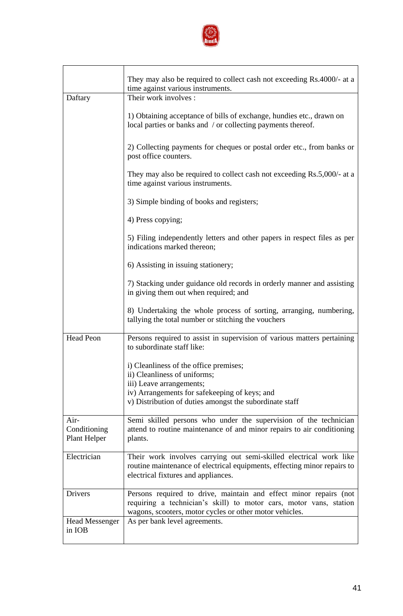

|                                      | They may also be required to collect cash not exceeding Rs.4000/- at a<br>time against various instruments.                                                                                        |  |  |
|--------------------------------------|----------------------------------------------------------------------------------------------------------------------------------------------------------------------------------------------------|--|--|
| Daftary                              | Their work involves :                                                                                                                                                                              |  |  |
|                                      | 1) Obtaining acceptance of bills of exchange, hundies etc., drawn on<br>local parties or banks and / or collecting payments thereof.                                                               |  |  |
|                                      | 2) Collecting payments for cheques or postal order etc., from banks or<br>post office counters.                                                                                                    |  |  |
|                                      | They may also be required to collect cash not exceeding $\text{Rs.}5,000/4$ at a<br>time against various instruments.                                                                              |  |  |
|                                      | 3) Simple binding of books and registers;                                                                                                                                                          |  |  |
|                                      | 4) Press copying;                                                                                                                                                                                  |  |  |
|                                      | 5) Filing independently letters and other papers in respect files as per<br>indications marked thereon;                                                                                            |  |  |
|                                      | 6) Assisting in issuing stationery;                                                                                                                                                                |  |  |
|                                      | 7) Stacking under guidance old records in orderly manner and assisting<br>in giving them out when required; and                                                                                    |  |  |
|                                      | 8) Undertaking the whole process of sorting, arranging, numbering,<br>tallying the total number or stitching the vouchers                                                                          |  |  |
| <b>Head Peon</b>                     | Persons required to assist in supervision of various matters pertaining<br>to subordinate staff like:                                                                                              |  |  |
|                                      | i) Cleanliness of the office premises;                                                                                                                                                             |  |  |
|                                      | ii) Cleanliness of uniforms;<br>iii) Leave arrangements;                                                                                                                                           |  |  |
|                                      | iv) Arrangements for safekeeping of keys; and<br>v) Distribution of duties amongst the subordinate staff                                                                                           |  |  |
| Air-<br>Conditioning<br>Plant Helper | Semi skilled persons who under the supervision of the technician<br>attend to routine maintenance of and minor repairs to air conditioning<br>plants.                                              |  |  |
| Electrician                          | Their work involves carrying out semi-skilled electrical work like<br>routine maintenance of electrical equipments, effecting minor repairs to<br>electrical fixtures and appliances.              |  |  |
| Drivers                              | Persons required to drive, maintain and effect minor repairs (not<br>requiring a technician's skill) to motor cars, motor vans, station<br>wagons, scooters, motor cycles or other motor vehicles. |  |  |
| <b>Head Messenger</b><br>in IOB      | As per bank level agreements.                                                                                                                                                                      |  |  |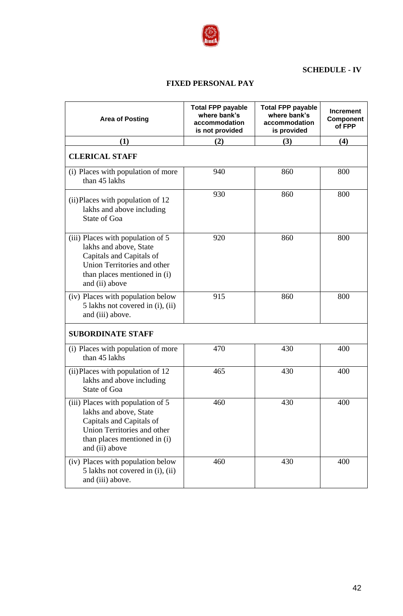

## **SCHEDULE - IV**

## **FIXED PERSONAL PAY**

| <b>Area of Posting</b>                                                                                                                                                   | <b>Total FPP payable</b><br>where bank's<br>accommodation<br>is not provided | <b>Total FPP payable</b><br>where bank's<br>accommodation<br>is provided | <b>Increment</b><br>Component<br>of FPP |
|--------------------------------------------------------------------------------------------------------------------------------------------------------------------------|------------------------------------------------------------------------------|--------------------------------------------------------------------------|-----------------------------------------|
| (1)                                                                                                                                                                      | (2)                                                                          | (3)                                                                      | (4)                                     |
| <b>CLERICAL STAFF</b>                                                                                                                                                    |                                                                              |                                                                          |                                         |
| (i) Places with population of more<br>than 45 lakhs                                                                                                                      | 940                                                                          | 860                                                                      | 800                                     |
| (ii) Places with population of 12<br>lakhs and above including<br><b>State of Goa</b>                                                                                    | 930                                                                          | 860                                                                      | 800                                     |
| (iii) Places with population of 5<br>lakhs and above, State<br>Capitals and Capitals of<br>Union Territories and other<br>than places mentioned in (i)<br>and (ii) above | 920                                                                          | 860                                                                      | 800                                     |
| (iv) Places with population below<br>5 lakhs not covered in (i), (ii)<br>and (iii) above.                                                                                | 915                                                                          | 860                                                                      | 800                                     |
| <b>SUBORDINATE STAFF</b>                                                                                                                                                 |                                                                              |                                                                          |                                         |
| (i) Places with population of more<br>than 45 lakhs                                                                                                                      | 470                                                                          | 430                                                                      | 400                                     |
| (ii) Places with population of 12<br>lakhs and above including<br><b>State of Goa</b>                                                                                    | 465                                                                          | 430                                                                      | 400                                     |
| (iii) Places with population of 5<br>lakhs and above, State<br>Capitals and Capitals of<br>Union Territories and other<br>than places mentioned in (i)<br>and (ii) above | 460                                                                          | 430                                                                      | 400                                     |
| (iv) Places with population below<br>5 lakhs not covered in (i), (ii)<br>and (iii) above.                                                                                | 460                                                                          | 430                                                                      | 400                                     |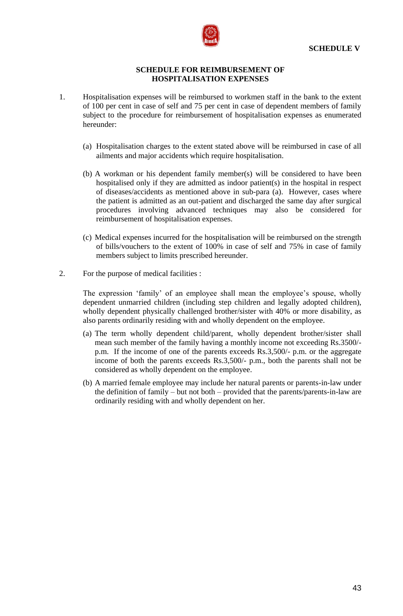

#### **SCHEDULE FOR REIMBURSEMENT OF HOSPITALISATION EXPENSES**

- 1. Hospitalisation expenses will be reimbursed to workmen staff in the bank to the extent of 100 per cent in case of self and 75 per cent in case of dependent members of family subject to the procedure for reimbursement of hospitalisation expenses as enumerated hereunder:
	- (a) Hospitalisation charges to the extent stated above will be reimbursed in case of all ailments and major accidents which require hospitalisation.
	- (b) A workman or his dependent family member(s) will be considered to have been hospitalised only if they are admitted as indoor patient(s) in the hospital in respect of diseases/accidents as mentioned above in sub-para (a). However, cases where the patient is admitted as an out-patient and discharged the same day after surgical procedures involving advanced techniques may also be considered for reimbursement of hospitalisation expenses.
	- (c) Medical expenses incurred for the hospitalisation will be reimbursed on the strength of bills/vouchers to the extent of 100% in case of self and 75% in case of family members subject to limits prescribed hereunder.
- 2. For the purpose of medical facilities :

The expression 'family' of an employee shall mean the employee's spouse, wholly dependent unmarried children (including step children and legally adopted children), wholly dependent physically challenged brother/sister with 40% or more disability, as also parents ordinarily residing with and wholly dependent on the employee.

- (a) The term wholly dependent child/parent, wholly dependent brother/sister shall mean such member of the family having a monthly income not exceeding Rs.3500/ p.m. If the income of one of the parents exceeds Rs.3,500/- p.m. or the aggregate income of both the parents exceeds Rs.3,500/- p.m., both the parents shall not be considered as wholly dependent on the employee.
- (b) A married female employee may include her natural parents or parents-in-law under the definition of family – but not both – provided that the parents/parents-in-law are ordinarily residing with and wholly dependent on her.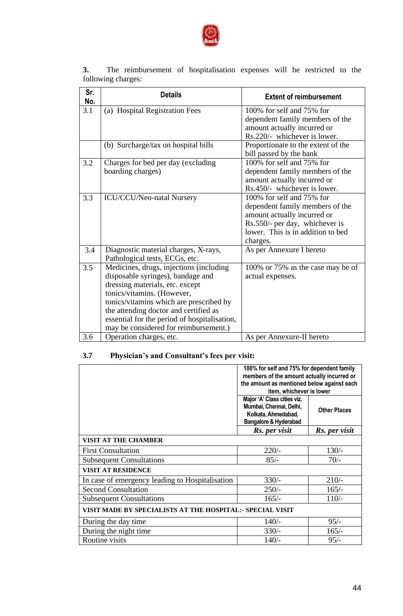

**3.** The reimbursement of hospitalisation expenses will be restricted to the following charges:

| Sr.<br>No. | <b>Details</b>                                                                                                                                                                                                                                                                                                             | <b>Extent of reimbursement</b>                                                                                                                                                 |
|------------|----------------------------------------------------------------------------------------------------------------------------------------------------------------------------------------------------------------------------------------------------------------------------------------------------------------------------|--------------------------------------------------------------------------------------------------------------------------------------------------------------------------------|
| 3.1        | (a) Hospital Registration Fees                                                                                                                                                                                                                                                                                             | 100% for self and 75% for<br>dependent family members of the<br>amount actually incurred or<br>Rs.220/- whichever is lower.                                                    |
|            | (b) Surcharge/tax on hospital bills                                                                                                                                                                                                                                                                                        | Proportionate to the extent of the<br>bill passed by the bank                                                                                                                  |
| 3.2        | Charges for bed per day (excluding<br>boarding charges)                                                                                                                                                                                                                                                                    | 100% for self and 75% for<br>dependent family members of the<br>amount actually incurred or<br>Rs.450/- whichever is lower.                                                    |
| 3.3        | ICU/CCU/Neo-natal Nursery                                                                                                                                                                                                                                                                                                  | 100% for self and 75% for<br>dependent family members of the<br>amount actually incurred or<br>Rs.550/- per day, whichever is<br>lower. This is in addition to bed<br>charges. |
| 3.4        | Diagnostic material charges, X-rays,<br>Pathological tests, ECGs, etc.                                                                                                                                                                                                                                                     | As per Annexure I hereto                                                                                                                                                       |
| 3.5        | Medicines, drugs, injections (including<br>disposable syringes), bandage and<br>dressing materials, etc. except<br>tonics/vitamins. (However,<br>tonics/vitamins which are prescribed by<br>the attending doctor and certified as<br>essential for the period of hospitalisation,<br>may be considered for reimbursement.) | 100% or 75% as the case may be of<br>actual expenses.                                                                                                                          |
| 3.6        | Operation charges, etc.                                                                                                                                                                                                                                                                                                    | As per Annexure-II hereto                                                                                                                                                      |

# **3.7 Physician's and Consultant's fees per visit:**

|                                                           | 100% for self and 75% for dependent family<br>members of the amount actually incurred or<br>the amount as mentioned below against each<br>item, whichever is lower |                     |  |  |
|-----------------------------------------------------------|--------------------------------------------------------------------------------------------------------------------------------------------------------------------|---------------------|--|--|
|                                                           | Major 'A' Class cities viz.<br>Mumbai, Chennai, Delhi,<br>Kolkata, Ahmedabad,<br>Bangalore & Hyderabad                                                             | <b>Other Places</b> |  |  |
|                                                           | Rs. per visit                                                                                                                                                      | Rs. per visit       |  |  |
| <b>VISIT AT THE CHAMBER</b>                               |                                                                                                                                                                    |                     |  |  |
| <b>First Consultation</b>                                 | $220/-$                                                                                                                                                            | $130/-$             |  |  |
| <b>Subsequent Consultations</b>                           | $85/-$                                                                                                                                                             | $70/-$              |  |  |
| VISIT AT RESIDENCE                                        |                                                                                                                                                                    |                     |  |  |
| In case of emergency leading to Hospitalisation           | $330/-$                                                                                                                                                            | $210/-$             |  |  |
| <b>Second Consultation</b>                                | $250/-$                                                                                                                                                            | $165/-$             |  |  |
| <b>Subsequent Consultations</b>                           | $165/-$                                                                                                                                                            | $110/-$             |  |  |
| VISIT MADE BY SPECIALISTS AT THE HOSPITAL:- SPECIAL VISIT |                                                                                                                                                                    |                     |  |  |
| During the day time                                       | $140/-$                                                                                                                                                            | $95/-$              |  |  |
| During the night time                                     | $330/-$                                                                                                                                                            | $165/-$             |  |  |
| Routine visits                                            | $140/-$                                                                                                                                                            | $95/-$              |  |  |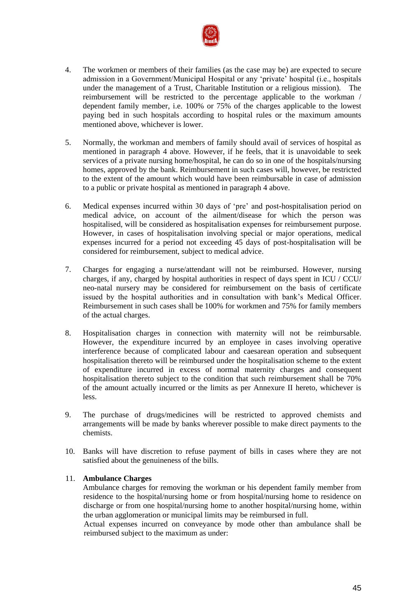

- 4. The workmen or members of their families (as the case may be) are expected to secure admission in a Government/Municipal Hospital or any "private" hospital (i.e., hospitals under the management of a Trust, Charitable Institution or a religious mission). The reimbursement will be restricted to the percentage applicable to the workman / dependent family member, i.e. 100% or 75% of the charges applicable to the lowest paying bed in such hospitals according to hospital rules or the maximum amounts mentioned above, whichever is lower.
- 5. Normally, the workman and members of family should avail of services of hospital as mentioned in paragraph 4 above. However, if he feels, that it is unavoidable to seek services of a private nursing home/hospital, he can do so in one of the hospitals/nursing homes, approved by the bank. Reimbursement in such cases will, however, be restricted to the extent of the amount which would have been reimbursable in case of admission to a public or private hospital as mentioned in paragraph 4 above.
- 6. Medical expenses incurred within 30 days of "pre" and post-hospitalisation period on medical advice, on account of the ailment/disease for which the person was hospitalised, will be considered as hospitalisation expenses for reimbursement purpose. However, in cases of hospitalisation involving special or major operations, medical expenses incurred for a period not exceeding 45 days of post-hospitalisation will be considered for reimbursement, subject to medical advice.
- 7. Charges for engaging a nurse/attendant will not be reimbursed. However, nursing charges, if any, charged by hospital authorities in respect of days spent in ICU / CCU/ neo-natal nursery may be considered for reimbursement on the basis of certificate issued by the hospital authorities and in consultation with bank"s Medical Officer. Reimbursement in such cases shall be 100% for workmen and 75% for family members of the actual charges.
- 8. Hospitalisation charges in connection with maternity will not be reimbursable. However, the expenditure incurred by an employee in cases involving operative interference because of complicated labour and caesarean operation and subsequent hospitalisation thereto will be reimbursed under the hospitalisation scheme to the extent of expenditure incurred in excess of normal maternity charges and consequent hospitalisation thereto subject to the condition that such reimbursement shall be 70% of the amount actually incurred or the limits as per Annexure II hereto, whichever is less.
- 9. The purchase of drugs/medicines will be restricted to approved chemists and arrangements will be made by banks wherever possible to make direct payments to the chemists.
- 10. Banks will have discretion to refuse payment of bills in cases where they are not satisfied about the genuineness of the bills.

## 11. **Ambulance Charges**

Ambulance charges for removing the workman or his dependent family member from residence to the hospital/nursing home or from hospital/nursing home to residence on discharge or from one hospital/nursing home to another hospital/nursing home, within the urban agglomeration or municipal limits may be reimbursed in full.

Actual expenses incurred on conveyance by mode other than ambulance shall be reimbursed subject to the maximum as under: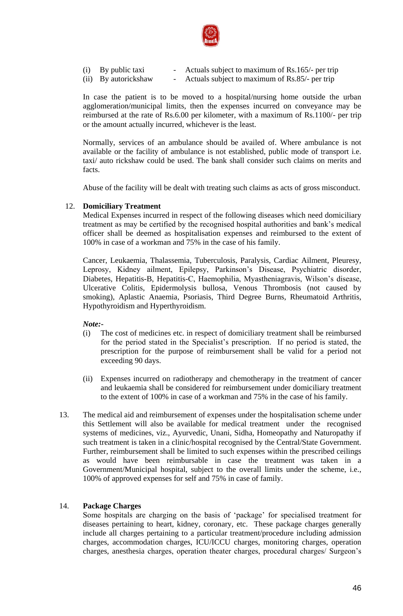

| $(i)$ By public taxi | Actuals subject to maximum of Rs.165/- per trip |
|----------------------|-------------------------------------------------|
| (ii) By autorickshaw | Actuals subject to maximum of Rs.85/- per trip  |

In case the patient is to be moved to a hospital/nursing home outside the urban agglomeration/municipal limits, then the expenses incurred on conveyance may be reimbursed at the rate of Rs.6.00 per kilometer, with a maximum of Rs.1100/- per trip or the amount actually incurred, whichever is the least.

Normally, services of an ambulance should be availed of. Where ambulance is not available or the facility of ambulance is not established, public mode of transport i.e. taxi/ auto rickshaw could be used. The bank shall consider such claims on merits and facts.

Abuse of the facility will be dealt with treating such claims as acts of gross misconduct.

## 12. **Domiciliary Treatment**

Medical Expenses incurred in respect of the following diseases which need domiciliary treatment as may be certified by the recognised hospital authorities and bank"s medical officer shall be deemed as hospitalisation expenses and reimbursed to the extent of 100% in case of a workman and 75% in the case of his family.

Cancer, Leukaemia, Thalassemia, Tuberculosis, Paralysis, Cardiac Ailment, Pleuresy, Leprosy, Kidney ailment, Epilepsy, Parkinson"s Disease, Psychiatric disorder, Diabetes, Hepatitis-B, Hepatitis-C, Haemophilia, Myastheniagravis, Wilson"s disease, Ulcerative Colitis, Epidermolysis bullosa, Venous Thrombosis (not caused by smoking), Aplastic Anaemia, Psoriasis, Third Degree Burns, Rheumatoid Arthritis, Hypothyroidism and Hyperthyroidism.

#### *Note:-*

- (i) The cost of medicines etc. in respect of domiciliary treatment shall be reimbursed for the period stated in the Specialist's prescription. If no period is stated, the prescription for the purpose of reimbursement shall be valid for a period not exceeding 90 days.
- (ii) Expenses incurred on radiotherapy and chemotherapy in the treatment of cancer and leukaemia shall be considered for reimbursement under domiciliary treatment to the extent of 100% in case of a workman and 75% in the case of his family.
- 13. The medical aid and reimbursement of expenses under the hospitalisation scheme under this Settlement will also be available for medical treatment under the recognised systems of medicines, viz., Ayurvedic, Unani, Sidha, Homeopathy and Naturopathy if such treatment is taken in a clinic/hospital recognised by the Central/State Government. Further, reimbursement shall be limited to such expenses within the prescribed ceilings as would have been reimbursable in case the treatment was taken in a Government/Municipal hospital, subject to the overall limits under the scheme, i.e., 100% of approved expenses for self and 75% in case of family.

## 14. **Package Charges**

Some hospitals are charging on the basis of "package" for specialised treatment for diseases pertaining to heart, kidney, coronary, etc. These package charges generally include all charges pertaining to a particular treatment/procedure including admission charges, accommodation charges, ICU/ICCU charges, monitoring charges, operation charges, anesthesia charges, operation theater charges, procedural charges/ Surgeon"s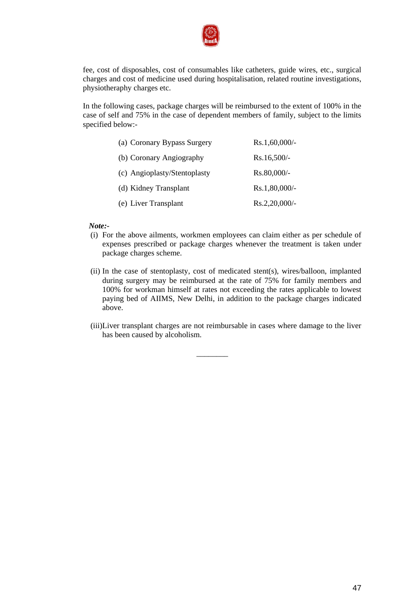

fee, cost of disposables, cost of consumables like catheters, guide wires, etc., surgical charges and cost of medicine used during hospitalisation, related routine investigations, physiotheraphy charges etc.

In the following cases, package charges will be reimbursed to the extent of 100% in the case of self and 75% in the case of dependent members of family, subject to the limits specified below:-

| (a) Coronary Bypass Surgery  | $Rs.1,60,000/$ - |
|------------------------------|------------------|
| (b) Coronary Angiography     | $Rs.16,500/-$    |
| (c) Angioplasty/Stentoplasty | Rs.80,000/-      |
| (d) Kidney Transplant        | $Rs.1,80,000/$ - |
| (e) Liver Transplant         | $Rs.2,20,000/$ - |

#### *Note:-*

- (i) For the above ailments, workmen employees can claim either as per schedule of expenses prescribed or package charges whenever the treatment is taken under package charges scheme.
- (ii) In the case of stentoplasty, cost of medicated stent(s), wires/balloon, implanted during surgery may be reimbursed at the rate of 75% for family members and 100% for workman himself at rates not exceeding the rates applicable to lowest paying bed of AIIMS, New Delhi, in addition to the package charges indicated above.
- (iii)Liver transplant charges are not reimbursable in cases where damage to the liver has been caused by alcoholism.

\_\_\_\_\_\_\_\_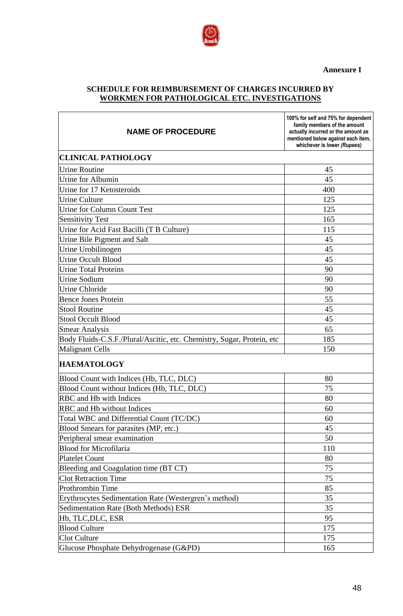**Annexure I**



# **SCHEDULE FOR REIMBURSEMENT OF CHARGES INCURRED BY WORKMEN FOR PATHOLOGICAL ETC. INVESTIGATIONS**

| <b>NAME OF PROCEDURE</b>                                               | 100% for self and 75% for dependent<br>family members of the amount<br>actually incurred or the amount as<br>mentioned below against each item,<br>whichever is lower (Rupees) |
|------------------------------------------------------------------------|--------------------------------------------------------------------------------------------------------------------------------------------------------------------------------|
| <b>CLINICAL PATHOLOGY</b>                                              |                                                                                                                                                                                |
| <b>Urine Routine</b>                                                   | 45                                                                                                                                                                             |
| Urine for Albumin                                                      | 45                                                                                                                                                                             |
| Urine for 17 Ketosteroids                                              | 400                                                                                                                                                                            |
| <b>Urine Culture</b>                                                   | 125                                                                                                                                                                            |
| <b>Urine for Column Count Test</b>                                     | 125                                                                                                                                                                            |
| <b>Sensitivity Test</b>                                                | 165                                                                                                                                                                            |
| Urine for Acid Fast Bacilli (T B Culture)                              | 115                                                                                                                                                                            |
| Urine Bile Pigment and Salt                                            | 45                                                                                                                                                                             |
| Urine Urobilinogen                                                     | 45                                                                                                                                                                             |
| <b>Urine Occult Blood</b>                                              | 45                                                                                                                                                                             |
| <b>Urine Total Proteins</b>                                            | 90                                                                                                                                                                             |
| <b>Urine Sodium</b>                                                    | 90                                                                                                                                                                             |
| <b>Urine Chloride</b>                                                  | 90                                                                                                                                                                             |
| <b>Bence Jones Protein</b>                                             | 55                                                                                                                                                                             |
| <b>Stool Routine</b>                                                   | 45                                                                                                                                                                             |
| <b>Stool Occult Blood</b>                                              | 45                                                                                                                                                                             |
| <b>Smear Analysis</b>                                                  | 65                                                                                                                                                                             |
| Body Fluids-C.S.F./Plural/Ascitic, etc. Chemistry, Sugar, Protein, etc | 185                                                                                                                                                                            |
| <b>Malignant Cells</b>                                                 | 150                                                                                                                                                                            |
| <b>HAEMATOLOGY</b>                                                     |                                                                                                                                                                                |
| Blood Count with Indices (Hb, TLC, DLC)                                | 80                                                                                                                                                                             |
| Blood Count without Indices (Hb, TLC, DLC)                             | 75                                                                                                                                                                             |
| RBC and Hb with Indices                                                | 80                                                                                                                                                                             |
| RBC and Hb without Indices                                             | 60                                                                                                                                                                             |
| Total WBC and Differential Count (TC/DC)                               | 60                                                                                                                                                                             |
| Blood Smears for parasites (MP, etc.)                                  | 45                                                                                                                                                                             |
| Peripheral smear examination                                           | 50                                                                                                                                                                             |
| <b>Blood for Microfilaria</b>                                          | 110                                                                                                                                                                            |
| <b>Platelet Count</b>                                                  | 80                                                                                                                                                                             |
| Bleeding and Coagulation time (BT CT)                                  | 75                                                                                                                                                                             |
| <b>Clot Retraction Time</b>                                            | 75                                                                                                                                                                             |
| Prothrombin Time                                                       | 85                                                                                                                                                                             |
| Erythrocytes Sedimentation Rate (Westergren's method)                  | 35                                                                                                                                                                             |
| <b>Sedimentation Rate (Both Methods) ESR</b>                           | 35                                                                                                                                                                             |
| Hb, TLC, DLC, ESR                                                      | 95                                                                                                                                                                             |
| <b>Blood Culture</b>                                                   | 175                                                                                                                                                                            |
| Clot Culture                                                           | 175                                                                                                                                                                            |
| Glucose Phosphate Dehydrogenase (G&PD)                                 | 165                                                                                                                                                                            |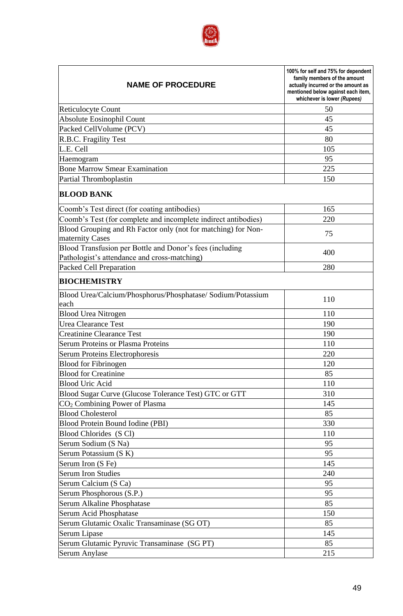

| <b>NAME OF PROCEDURE</b>                                                                                 | 100% for self and 75% for dependent<br>family members of the amount<br>actually incurred or the amount as<br>mentioned below against each item,<br>whichever is lower (Rupees) |
|----------------------------------------------------------------------------------------------------------|--------------------------------------------------------------------------------------------------------------------------------------------------------------------------------|
| <b>Reticulocyte Count</b>                                                                                | 50                                                                                                                                                                             |
| Absolute Eosinophil Count                                                                                | 45                                                                                                                                                                             |
| Packed CellVolume (PCV)                                                                                  | 45                                                                                                                                                                             |
| R.B.C. Fragility Test                                                                                    | 80                                                                                                                                                                             |
| L.E. Cell                                                                                                | 105                                                                                                                                                                            |
| Haemogram                                                                                                | 95                                                                                                                                                                             |
| <b>Bone Marrow Smear Examination</b>                                                                     | 225                                                                                                                                                                            |
| Partial Thromboplastin                                                                                   | 150                                                                                                                                                                            |
| <b>BLOOD BANK</b>                                                                                        |                                                                                                                                                                                |
| Coomb's Test direct (for coating antibodies)                                                             | 165                                                                                                                                                                            |
| Coomb's Test (for complete and incomplete indirect antibodies)                                           | 220                                                                                                                                                                            |
| Blood Grouping and Rh Factor only (not for matching) for Non-<br>maternity Cases                         | 75                                                                                                                                                                             |
| Blood Transfusion per Bottle and Donor's fees (including<br>Pathologist's attendance and cross-matching) | 400                                                                                                                                                                            |
| Packed Cell Preparation                                                                                  | 280                                                                                                                                                                            |
| <b>BIOCHEMISTRY</b>                                                                                      |                                                                                                                                                                                |
| Blood Urea/Calcium/Phosphorus/Phosphatase/ Sodium/Potassium<br>each                                      | 110                                                                                                                                                                            |
| <b>Blood Urea Nitrogen</b>                                                                               | 110                                                                                                                                                                            |
| <b>Urea Clearance Test</b>                                                                               | 190                                                                                                                                                                            |
| <b>Creatinine Clearance Test</b>                                                                         | 190                                                                                                                                                                            |
| <b>Serum Proteins or Plasma Proteins</b>                                                                 | 110                                                                                                                                                                            |
| Serum Proteins Electrophoresis                                                                           | 220                                                                                                                                                                            |
| <b>Blood for Fibrinogen</b>                                                                              | 120                                                                                                                                                                            |
| <b>Blood for Creatinine</b>                                                                              | 85                                                                                                                                                                             |
| <b>Blood Uric Acid</b>                                                                                   | 110                                                                                                                                                                            |
| Blood Sugar Curve (Glucose Tolerance Test) GTC or GTT                                                    | 310                                                                                                                                                                            |
| CO <sub>2</sub> Combining Power of Plasma                                                                | 145                                                                                                                                                                            |
| <b>Blood Cholesterol</b>                                                                                 | 85                                                                                                                                                                             |
| Blood Protein Bound Iodine (PBI)                                                                         | 330                                                                                                                                                                            |
| Blood Chlorides (S Cl)                                                                                   | 110                                                                                                                                                                            |
| Serum Sodium (S Na)                                                                                      | 95                                                                                                                                                                             |
| Serum Potassium (S K)                                                                                    | 95                                                                                                                                                                             |
| Serum Iron (S Fe)                                                                                        | 145                                                                                                                                                                            |
| <b>Serum Iron Studies</b>                                                                                | 240                                                                                                                                                                            |
| Serum Calcium (S Ca)                                                                                     | 95                                                                                                                                                                             |
| Serum Phosphorous (S.P.)                                                                                 | 95                                                                                                                                                                             |
| Serum Alkaline Phosphatase                                                                               | 85                                                                                                                                                                             |
| Serum Acid Phosphatase                                                                                   | 150                                                                                                                                                                            |
| Serum Glutamic Oxalic Transaminase (SG OT)                                                               | 85                                                                                                                                                                             |
| Serum Lipase                                                                                             | 145                                                                                                                                                                            |
| Serum Glutamic Pyruvic Transaminase (SG PT)                                                              | 85                                                                                                                                                                             |
| Serum Anylase                                                                                            | 215                                                                                                                                                                            |
|                                                                                                          |                                                                                                                                                                                |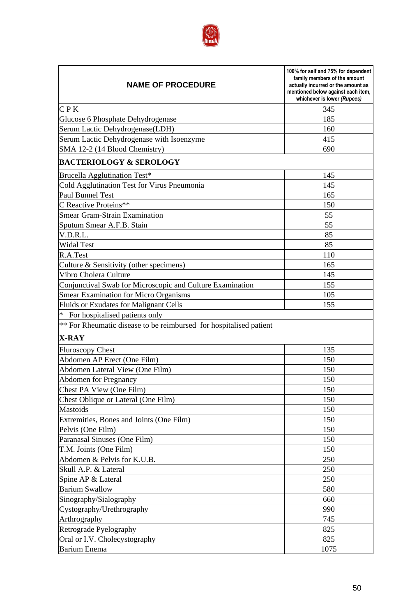

| <b>NAME OF PROCEDURE</b>                                           | 100% for self and 75% for dependent<br>family members of the amount<br>actually incurred or the amount as<br>mentioned below against each item,<br>whichever is lower (Rupees) |
|--------------------------------------------------------------------|--------------------------------------------------------------------------------------------------------------------------------------------------------------------------------|
| CPK                                                                | 345                                                                                                                                                                            |
| Glucose 6 Phosphate Dehydrogenase                                  | 185                                                                                                                                                                            |
| Serum Lactic Dehydrogenase(LDH)                                    | 160                                                                                                                                                                            |
| Serum Lactic Dehydrogenase with Isoenzyme                          | 415                                                                                                                                                                            |
| SMA 12-2 (14 Blood Chemistry)                                      | 690                                                                                                                                                                            |
| <b>BACTERIOLOGY &amp; SEROLOGY</b>                                 |                                                                                                                                                                                |
| Brucella Agglutination Test*                                       | 145                                                                                                                                                                            |
| Cold Agglutination Test for Virus Pneumonia                        | 145                                                                                                                                                                            |
| Paul Bunnel Test                                                   | 165                                                                                                                                                                            |
| C Reactive Proteins**                                              | 150                                                                                                                                                                            |
| <b>Smear Gram-Strain Examination</b>                               | 55                                                                                                                                                                             |
| Sputum Smear A.F.B. Stain                                          | 55                                                                                                                                                                             |
| V.D.R.L.                                                           | 85                                                                                                                                                                             |
| <b>Widal Test</b>                                                  | 85                                                                                                                                                                             |
| R.A.Test                                                           | 110                                                                                                                                                                            |
| Culture & Sensitivity (other specimens)                            | 165                                                                                                                                                                            |
| Vibro Cholera Culture                                              | 145                                                                                                                                                                            |
| Conjunctival Swab for Microscopic and Culture Examination          | 155                                                                                                                                                                            |
| <b>Smear Examination for Micro Organisms</b>                       | 105                                                                                                                                                                            |
| Fluids or Exudates for Malignant Cells                             | 155                                                                                                                                                                            |
| * For hospitalised patients only                                   |                                                                                                                                                                                |
| ** For Rheumatic disease to be reimbursed for hospitalised patient |                                                                                                                                                                                |
| $X-RAY$                                                            |                                                                                                                                                                                |
| <b>Fluroscopy Chest</b>                                            | 135                                                                                                                                                                            |
| Abdomen AP Erect (One Film)                                        | 150                                                                                                                                                                            |
| Abdomen Lateral View (One Film)                                    | 150                                                                                                                                                                            |
| <b>Abdomen for Pregnancy</b>                                       | 150                                                                                                                                                                            |
| Chest PA View (One Film)                                           | 150                                                                                                                                                                            |
| Chest Oblique or Lateral (One Film)                                | 150                                                                                                                                                                            |
| Mastoids                                                           | 150                                                                                                                                                                            |
| Extremities, Bones and Joints (One Film)                           | 150                                                                                                                                                                            |
| Pelvis (One Film)                                                  | 150                                                                                                                                                                            |
| Paranasal Sinuses (One Film)                                       | 150                                                                                                                                                                            |
| T.M. Joints (One Film)                                             | 150                                                                                                                                                                            |
| Abdomen & Pelvis for K.U.B.                                        | 250                                                                                                                                                                            |
| Skull A.P. & Lateral                                               | 250                                                                                                                                                                            |
| Spine AP & Lateral                                                 | 250                                                                                                                                                                            |
| <b>Barium Swallow</b>                                              | 580                                                                                                                                                                            |
| Sinography/Sialography                                             | 660                                                                                                                                                                            |
| Cystography/Urethrography                                          | 990                                                                                                                                                                            |
| Arthrography                                                       | 745                                                                                                                                                                            |
| Retrograde Pyelography                                             | 825                                                                                                                                                                            |
| Oral or I.V. Cholecystography                                      | 825                                                                                                                                                                            |
| <b>Barium Enema</b>                                                | 1075                                                                                                                                                                           |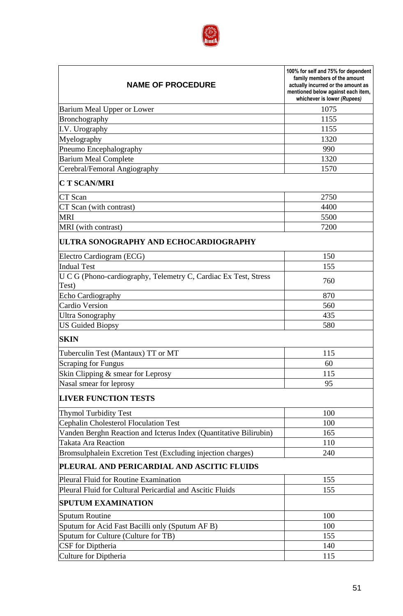

| <b>NAME OF PROCEDURE</b>                                                 | 100% for self and 75% for dependent<br>family members of the amount<br>actually incurred or the amount as<br>mentioned below against each item,<br>whichever is lower (Rupees) |  |
|--------------------------------------------------------------------------|--------------------------------------------------------------------------------------------------------------------------------------------------------------------------------|--|
| Barium Meal Upper or Lower                                               | 1075                                                                                                                                                                           |  |
| Bronchography                                                            | 1155                                                                                                                                                                           |  |
| I.V. Urography                                                           | 1155                                                                                                                                                                           |  |
| Myelography                                                              | 1320                                                                                                                                                                           |  |
| Pneumo Encephalography                                                   | 990                                                                                                                                                                            |  |
| <b>Barium Meal Complete</b>                                              | 1320                                                                                                                                                                           |  |
| Cerebral/Femoral Angiography                                             | 1570                                                                                                                                                                           |  |
| <b>CT SCAN/MRI</b>                                                       |                                                                                                                                                                                |  |
| CT Scan                                                                  | 2750                                                                                                                                                                           |  |
| CT Scan (with contrast)                                                  | 4400                                                                                                                                                                           |  |
| <b>MRI</b>                                                               | 5500                                                                                                                                                                           |  |
| MRI (with contrast)                                                      | 7200                                                                                                                                                                           |  |
| ULTRA SONOGRAPHY AND ECHOCARDIOGRAPHY                                    |                                                                                                                                                                                |  |
| Electro Cardiogram (ECG)                                                 | 150                                                                                                                                                                            |  |
| <b>Indual Test</b>                                                       | 155                                                                                                                                                                            |  |
| U C G (Phono-cardiography, Telemetry C, Cardiac Ex Test, Stress<br>Test) | 760                                                                                                                                                                            |  |
| Echo Cardiography                                                        | 870                                                                                                                                                                            |  |
| <b>Cardio Version</b>                                                    | 560                                                                                                                                                                            |  |
| <b>Ultra Sonography</b>                                                  | 435                                                                                                                                                                            |  |
| <b>US Guided Biopsy</b>                                                  | 580                                                                                                                                                                            |  |
| <b>SKIN</b>                                                              |                                                                                                                                                                                |  |
| Tuberculin Test (Mantaux) TT or MT                                       | 115                                                                                                                                                                            |  |
| <b>Scraping for Fungus</b>                                               | 60                                                                                                                                                                             |  |
| Skin Clipping & smear for Leprosy                                        | 115                                                                                                                                                                            |  |
| Nasal smear for leprosy                                                  | 95                                                                                                                                                                             |  |
| <b>LIVER FUNCTION TESTS</b>                                              |                                                                                                                                                                                |  |
| <b>Thymol Turbidity Test</b>                                             | 100                                                                                                                                                                            |  |
| <b>Cephalin Cholesterol Floculation Test</b>                             | 100                                                                                                                                                                            |  |
| Vanden Berghn Reaction and Icterus Index (Quantitative Bilirubin)        | 165                                                                                                                                                                            |  |
| <b>Takata Ara Reaction</b>                                               | 110                                                                                                                                                                            |  |
| Bromsulphalein Excretion Test (Excluding injection charges)              | 240                                                                                                                                                                            |  |
| PLEURAL AND PERICARDIAL AND ASCITIC FLUIDS                               |                                                                                                                                                                                |  |
| <b>Pleural Fluid for Routine Examination</b>                             | 155                                                                                                                                                                            |  |
| Pleural Fluid for Cultural Pericardial and Ascitic Fluids                | 155                                                                                                                                                                            |  |
| <b>SPUTUM EXAMINATION</b>                                                |                                                                                                                                                                                |  |
| <b>Sputum Routine</b>                                                    | 100                                                                                                                                                                            |  |
| Sputum for Acid Fast Bacilli only (Sputum AF B)                          | 100                                                                                                                                                                            |  |
| Sputum for Culture (Culture for TB)                                      | 155                                                                                                                                                                            |  |
| CSF for Diptheria                                                        | 140                                                                                                                                                                            |  |
| <b>Culture for Diptheria</b>                                             | 115                                                                                                                                                                            |  |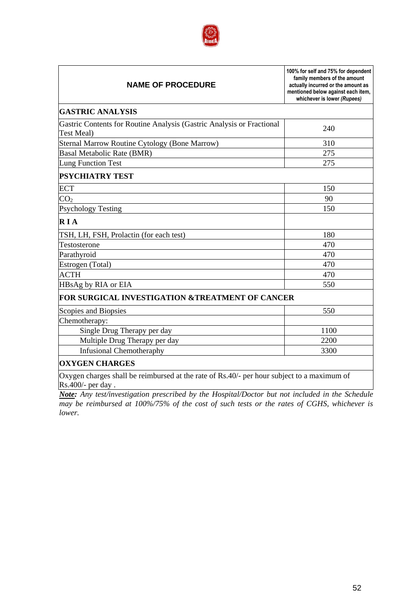

| <b>NAME OF PROCEDURE</b>                                                                                        | 100% for self and 75% for dependent<br>family members of the amount<br>actually incurred or the amount as<br>mentioned below against each item,<br>whichever is lower (Rupees) |  |  |  |
|-----------------------------------------------------------------------------------------------------------------|--------------------------------------------------------------------------------------------------------------------------------------------------------------------------------|--|--|--|
| <b>GASTRIC ANALYSIS</b>                                                                                         |                                                                                                                                                                                |  |  |  |
| Gastric Contents for Routine Analysis (Gastric Analysis or Fractional<br>Test Meal)                             | 240                                                                                                                                                                            |  |  |  |
| <b>Sternal Marrow Routine Cytology (Bone Marrow)</b>                                                            | 310                                                                                                                                                                            |  |  |  |
| <b>Basal Metabolic Rate (BMR)</b>                                                                               | 275                                                                                                                                                                            |  |  |  |
| <b>Lung Function Test</b>                                                                                       | 275                                                                                                                                                                            |  |  |  |
| <b>PSYCHIATRY TEST</b>                                                                                          |                                                                                                                                                                                |  |  |  |
| <b>ECT</b>                                                                                                      | 150                                                                                                                                                                            |  |  |  |
| CO <sub>2</sub>                                                                                                 | 90                                                                                                                                                                             |  |  |  |
| <b>Psychology Testing</b>                                                                                       | 150                                                                                                                                                                            |  |  |  |
| <b>RIA</b>                                                                                                      |                                                                                                                                                                                |  |  |  |
| TSH, LH, FSH, Prolactin (for each test)                                                                         | 180                                                                                                                                                                            |  |  |  |
| Testosterone                                                                                                    | 470                                                                                                                                                                            |  |  |  |
| Parathyroid                                                                                                     | 470                                                                                                                                                                            |  |  |  |
| Estrogen (Total)                                                                                                | 470                                                                                                                                                                            |  |  |  |
| <b>ACTH</b>                                                                                                     | 470                                                                                                                                                                            |  |  |  |
| HBsAg by RIA or EIA                                                                                             | 550                                                                                                                                                                            |  |  |  |
| FOR SURGICAL INVESTIGATION &TREATMENT OF CANCER                                                                 |                                                                                                                                                                                |  |  |  |
| Scopies and Biopsies                                                                                            | 550                                                                                                                                                                            |  |  |  |
| Chemotherapy:                                                                                                   |                                                                                                                                                                                |  |  |  |
| Single Drug Therapy per day                                                                                     | 1100                                                                                                                                                                           |  |  |  |
| Multiple Drug Therapy per day                                                                                   | 2200                                                                                                                                                                           |  |  |  |
| <b>Infusional Chemotheraphy</b>                                                                                 | 3300                                                                                                                                                                           |  |  |  |
| <b>OXYGEN CHARGES</b>                                                                                           |                                                                                                                                                                                |  |  |  |
| Oxygen charges shall be reimbursed at the rate of Rs.40/- per hour subject to a maximum of<br>Rs.400/- per day. |                                                                                                                                                                                |  |  |  |

*Note: Any test/investigation prescribed by the Hospital/Doctor but not included in the Schedule may be reimbursed at 100%/75% of the cost of such tests or the rates of CGHS, whichever is lower.*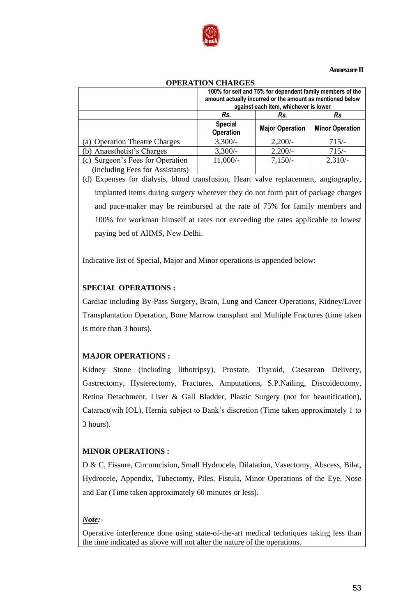

#### **Annexure II**

|                                                                     | 100% for self and 75% for dependent family members of the<br>amount actually incurred or the amount as mentioned below<br>against each item, whichever is lower |                        |                        |  |
|---------------------------------------------------------------------|-----------------------------------------------------------------------------------------------------------------------------------------------------------------|------------------------|------------------------|--|
|                                                                     | Rs.                                                                                                                                                             | Rs.                    | Rs.                    |  |
|                                                                     | <b>Special</b><br><b>Operation</b>                                                                                                                              | <b>Major Operation</b> | <b>Minor Operation</b> |  |
| (a) Operation Theatre Charges                                       | $3,300/-$                                                                                                                                                       | 2,200/                 | $715/-$                |  |
| (b) Anaesthetist's Charges                                          | $3,300/-$                                                                                                                                                       | $2,200/-$              | $715/-$                |  |
| (c) Surgeon's Fees for Operation<br>(including Fees for Assistants) | $11,000/-$                                                                                                                                                      | $7,150/-$              | $2,310/-$              |  |

#### **OPERATION CHARGES**

(d) Expenses for dialysis, blood transfusion, Heart valve replacement, angiography, implanted items during surgery wherever they do not form part of package charges and pace-maker may be reimbursed at the rate of 75% for family members and 100% for workman himself at rates not exceeding the rates applicable to lowest paying bed of AIIMS, New Delhi.

Indicative list of Special, Major and Minor operations is appended below:

# **SPECIAL OPERATIONS :**

Cardiac including By-Pass Surgery, Brain, Lung and Cancer Operations, Kidney/Liver Transplantation Operation, Bone Marrow transplant and Multiple Fractures (time taken is more than 3 hours).

# **MAJOR OPERATIONS :**

Kidney Stone (including lithotripsy), Prostate, Thyroid, Caesarean Delivery, Gastrectomy, Hysterectomy, Fractures, Amputations, S.P.Nailing, Discoidectomy, Retina Detachment, Liver & Gall Bladder, Plastic Surgery (not for beautification), Cataract(wih IOL), Hernia subject to Bank"s discretion (Time taken approximately 1 to 3 hours).

## **MINOR OPERATIONS :**

D & C, Fissure, Circumcision, Small Hydrocele, Dilatation, Vasectomy, Abscess, Bilat, Hydrocele, Appendix, Tubectomy, Piles, Fistula, Minor Operations of the Eye, Nose and Ear (Time taken approximately 60 minutes or less).

# *Note:*-

Operative interference done using state-of-the-art medical techniques taking less than the time indicated as above will not alter the nature of the operations.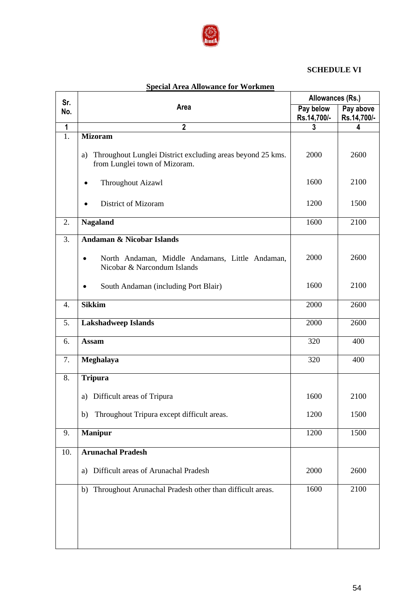

# **SCHEDULE VI**

| Sr.              |                                                                                                   | Allowances (Rs.)         |                          |
|------------------|---------------------------------------------------------------------------------------------------|--------------------------|--------------------------|
| No.              | Area                                                                                              | Pay below<br>Rs.14,700/- | Pay above<br>Rs.14,700/- |
| $\mathbf 1$      | $\mathbf{2}$                                                                                      | 3                        | 4                        |
| 1.               | <b>Mizoram</b>                                                                                    |                          |                          |
|                  | Throughout Lunglei District excluding areas beyond 25 kms.<br>a)<br>from Lunglei town of Mizoram. | 2000                     | 2600                     |
|                  | Throughout Aizawl<br>$\bullet$                                                                    | 1600                     | 2100                     |
|                  | <b>District of Mizoram</b>                                                                        | 1200                     | 1500                     |
| 2.               | <b>Nagaland</b>                                                                                   | 1600                     | 2100                     |
| 3.               | Andaman & Nicobar Islands                                                                         |                          |                          |
|                  | North Andaman, Middle Andamans, Little Andaman,<br>$\bullet$<br>Nicobar & Narcondum Islands       | 2000                     | 2600                     |
|                  | South Andaman (including Port Blair)                                                              | 1600                     | 2100                     |
| $\overline{4}$ . | <b>Sikkim</b>                                                                                     | 2000                     | 2600                     |
| 5.               | <b>Lakshadweep Islands</b>                                                                        | 2000                     | 2600                     |
| 6.               | <b>Assam</b>                                                                                      | 320                      | 400                      |
| 7.               | Meghalaya                                                                                         | 320                      | 400                      |
| 8.               | <b>Tripura</b>                                                                                    |                          |                          |
|                  | Difficult areas of Tripura<br>a)                                                                  | 1600                     | 2100                     |
|                  | Throughout Tripura except difficult areas.<br>b)                                                  | 1200                     | 1500                     |
| 9.               | <b>Manipur</b>                                                                                    | 1200                     | 1500                     |
| 10.              | <b>Arunachal Pradesh</b>                                                                          |                          |                          |
|                  | Difficult areas of Arunachal Pradesh<br>a)                                                        | 2000                     | 2600                     |
|                  | Throughout Arunachal Pradesh other than difficult areas.<br>b)                                    | 1600                     | 2100                     |
|                  |                                                                                                   |                          |                          |
|                  |                                                                                                   |                          |                          |
|                  |                                                                                                   |                          |                          |

# **Special Area Allowance for Workmen**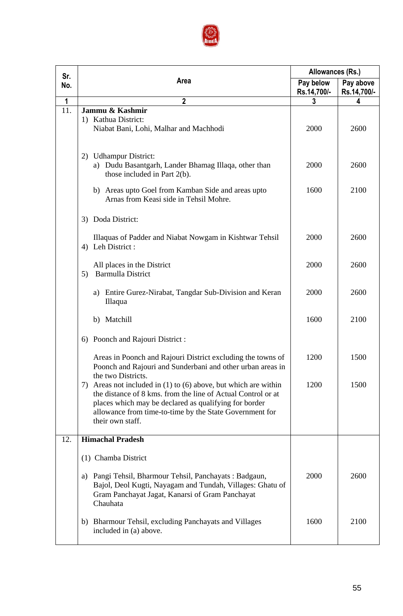

| Sr. |                                                                                                                                                                                                                                                                                | Allowances (Rs.)         |                          |
|-----|--------------------------------------------------------------------------------------------------------------------------------------------------------------------------------------------------------------------------------------------------------------------------------|--------------------------|--------------------------|
| No. | Area                                                                                                                                                                                                                                                                           | Pay below<br>Rs.14,700/- | Pay above<br>Rs.14,700/- |
| 1   | $\mathbf{2}$                                                                                                                                                                                                                                                                   | 3                        | 4                        |
| 11. | Jammu & Kashmir<br>1) Kathua District:<br>Niabat Bani, Lohi, Malhar and Machhodi                                                                                                                                                                                               | 2000                     | 2600                     |
|     | <b>Udhampur District:</b><br>2)<br>a) Dudu Basantgarh, Lander Bhamag Illaqa, other than<br>those included in Part 2(b).                                                                                                                                                        | 2000                     | 2600                     |
|     | b) Areas upto Goel from Kamban Side and areas upto<br>Arnas from Keasi side in Tehsil Mohre.                                                                                                                                                                                   | 1600                     | 2100                     |
|     | Doda District:<br>3)                                                                                                                                                                                                                                                           |                          |                          |
|     | Illaquas of Padder and Niabat Nowgam in Kishtwar Tehsil<br>Leh District:<br>4)                                                                                                                                                                                                 | 2000                     | 2600                     |
|     | All places in the District<br><b>Barmulla District</b><br>5)                                                                                                                                                                                                                   | 2000                     | 2600                     |
|     | Entire Gurez-Nirabat, Tangdar Sub-Division and Keran<br>a)<br>Illaqua                                                                                                                                                                                                          | 2000                     | 2600                     |
|     | b) Matchill                                                                                                                                                                                                                                                                    | 1600                     | 2100                     |
|     | Poonch and Rajouri District :<br>6)                                                                                                                                                                                                                                            |                          |                          |
|     | Areas in Poonch and Rajouri District excluding the towns of<br>Poonch and Rajouri and Sunderbani and other urban areas in<br>the two Districts.                                                                                                                                | 1200                     | 1500                     |
|     | Areas not included in $(1)$ to $(6)$ above, but which are within<br>7)<br>the distance of 8 kms. from the line of Actual Control or at<br>places which may be declared as qualifying for border<br>allowance from time-to-time by the State Government for<br>their own staff. | 1200                     | 1500                     |
| 12. | <b>Himachal Pradesh</b>                                                                                                                                                                                                                                                        |                          |                          |
|     | (1) Chamba District                                                                                                                                                                                                                                                            |                          |                          |
|     | Pangi Tehsil, Bharmour Tehsil, Panchayats: Badgaun,<br>a)<br>Bajol, Deol Kugti, Nayagam and Tundah, Villages: Ghatu of<br>Gram Panchayat Jagat, Kanarsi of Gram Panchayat<br>Chauhata                                                                                          | 2000                     | 2600                     |
|     | Bharmour Tehsil, excluding Panchayats and Villages<br>b)<br>included in (a) above.                                                                                                                                                                                             | 1600                     | 2100                     |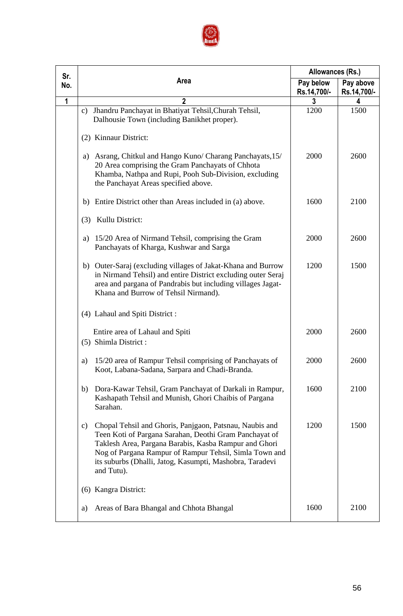

| Sr.         |                                                                                                                                                                                                                                                                                                                                 | Allowances (Rs.)         |                          |
|-------------|---------------------------------------------------------------------------------------------------------------------------------------------------------------------------------------------------------------------------------------------------------------------------------------------------------------------------------|--------------------------|--------------------------|
| No.         | Area                                                                                                                                                                                                                                                                                                                            | Pay below<br>Rs.14,700/- | Pay above<br>Rs.14,700/- |
| $\mathbf 1$ | $\mathbf{2}$                                                                                                                                                                                                                                                                                                                    | 3                        | 4                        |
|             | Jhandru Panchayat in Bhatiyat Tehsil, Churah Tehsil,<br>$\mathbf{c}$ )<br>Dalhousie Town (including Banikhet proper).                                                                                                                                                                                                           | 1200                     | 1500                     |
|             | (2) Kinnaur District:                                                                                                                                                                                                                                                                                                           |                          |                          |
|             | Asrang, Chitkul and Hango Kuno/ Charang Panchayats, 15/<br>a)<br>20 Area comprising the Gram Panchayats of Chhota<br>Khamba, Nathpa and Rupi, Pooh Sub-Division, excluding<br>the Panchayat Areas specified above.                                                                                                              | 2000                     | 2600                     |
|             | Entire District other than Areas included in (a) above.<br>b)                                                                                                                                                                                                                                                                   | 1600                     | 2100                     |
|             | Kullu District:<br>(3)                                                                                                                                                                                                                                                                                                          |                          |                          |
|             | 15/20 Area of Nirmand Tehsil, comprising the Gram<br>a)<br>Panchayats of Kharga, Kushwar and Sarga                                                                                                                                                                                                                              | 2000                     | 2600                     |
|             | Outer-Saraj (excluding villages of Jakat-Khana and Burrow<br>b)<br>in Nirmand Tehsil) and entire District excluding outer Seraj<br>area and pargana of Pandrabis but including villages Jagat-<br>Khana and Burrow of Tehsil Nirmand).                                                                                          | 1200                     | 1500                     |
|             | (4) Lahaul and Spiti District :                                                                                                                                                                                                                                                                                                 |                          |                          |
|             | Entire area of Lahaul and Spiti<br>(5) Shimla District :                                                                                                                                                                                                                                                                        | 2000                     | 2600                     |
|             | 15/20 area of Rampur Tehsil comprising of Panchayats of<br>a)<br>Koot, Labana-Sadana, Sarpara and Chadi-Branda.                                                                                                                                                                                                                 | 2000                     | 2600                     |
|             | Dora-Kawar Tehsil, Gram Panchayat of Darkali in Rampur,<br>b)<br>Kashapath Tehsil and Munish, Ghori Chaibis of Pargana<br>Sarahan.                                                                                                                                                                                              | 1600                     | 2100                     |
|             | Chopal Tehsil and Ghoris, Panjgaon, Patsnau, Naubis and<br>$\mathbf{c})$<br>Teen Koti of Pargana Sarahan, Deothi Gram Panchayat of<br>Taklesh Area, Pargana Barabis, Kasba Rampur and Ghori<br>Nog of Pargana Rampur of Rampur Tehsil, Simla Town and<br>its suburbs (Dhalli, Jatog, Kasumpti, Mashobra, Taradevi<br>and Tutu). | 1200                     | 1500                     |
|             | Kangra District:<br>(6)                                                                                                                                                                                                                                                                                                         |                          |                          |
|             | Areas of Bara Bhangal and Chhota Bhangal<br>a)                                                                                                                                                                                                                                                                                  | 1600                     | 2100                     |